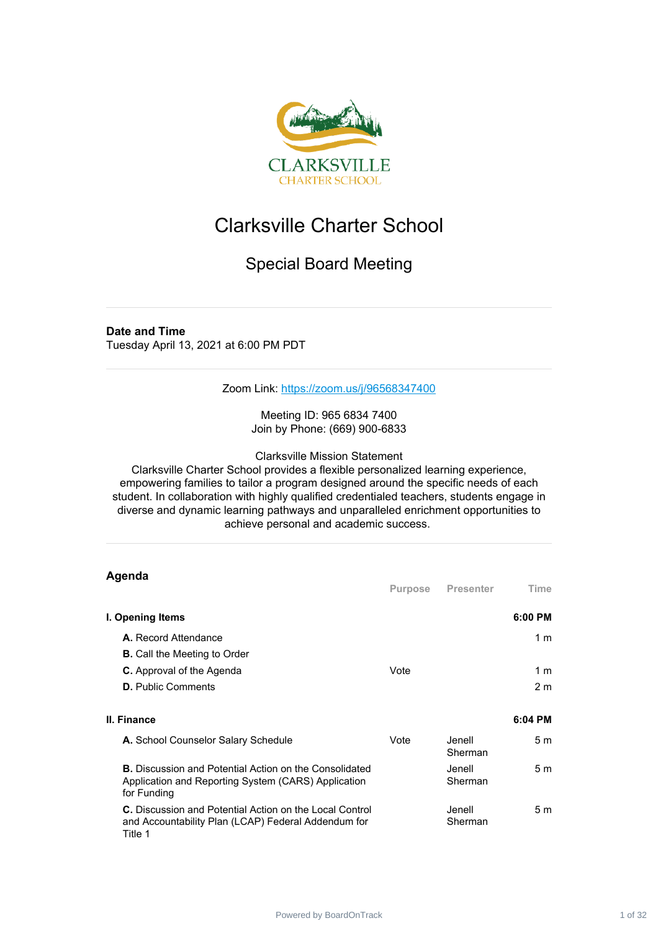

# Clarksville Charter School

# Special Board Meeting

#### **Date and Time**

Tuesday April 13, 2021 at 6:00 PM PDT

Zoom Link: <https://zoom.us/j/96568347400>

Meeting ID: 965 6834 7400 Join by Phone: (669) 900-6833

Clarksville Mission Statement

Clarksville Charter School provides a flexible personalized learning experience, empowering families to tailor a program designed around the specific needs of each student. In collaboration with highly qualified credentialed teachers, students engage in diverse and dynamic learning pathways and unparalleled enrichment opportunities to achieve personal and academic success.

| Agenda                                                                                                                              |         |                    |                |
|-------------------------------------------------------------------------------------------------------------------------------------|---------|--------------------|----------------|
|                                                                                                                                     | Purpose | Presenter          | Time           |
| I. Opening Items                                                                                                                    |         |                    | $6:00$ PM      |
| A. Record Attendance                                                                                                                |         |                    | 1 <sub>m</sub> |
| <b>B.</b> Call the Meeting to Order                                                                                                 |         |                    |                |
| <b>C.</b> Approval of the Agenda                                                                                                    | Vote    |                    | 1 m            |
| <b>D.</b> Public Comments                                                                                                           |         |                    | 2 <sub>m</sub> |
|                                                                                                                                     |         |                    |                |
| II. Finance                                                                                                                         |         |                    | 6:04 PM        |
| A. School Counselor Salary Schedule                                                                                                 | Vote    | Jenell.<br>Sherman | 5 <sub>m</sub> |
| <b>B.</b> Discussion and Potential Action on the Consolidated<br>Application and Reporting System (CARS) Application<br>for Funding |         | Jenell.<br>Sherman | 5 <sub>m</sub> |
| <b>C.</b> Discussion and Potential Action on the Local Control<br>and Accountability Plan (LCAP) Federal Addendum for<br>Title 1    |         | Jenell<br>Sherman  | 5 <sub>m</sub> |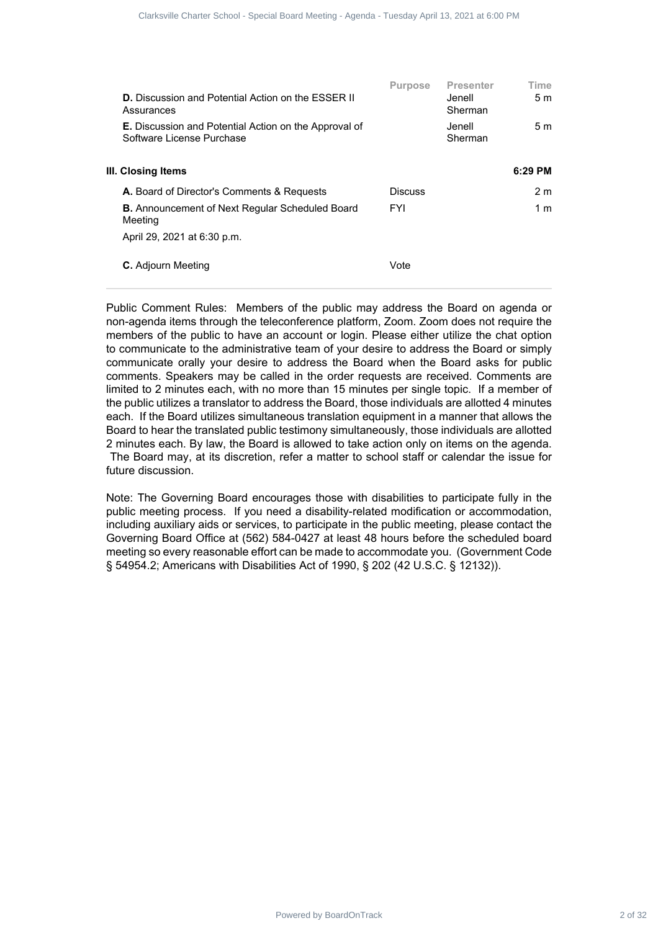| Clarksville Charter School - Special Board Meeting - Agenda - Tuesday April 13, 2021 at 6:00 PM |                                                            |                                                                                 |                                                                                                                                                                                                                                                                                                                                                                                                                                                                                                                                                                                                                                                                                                                                                                                                                                                                                                                                                                                                                                                                                                                                                                                                                                                                                                                                                                                                                                                                                                                                                                                                           |
|-------------------------------------------------------------------------------------------------|------------------------------------------------------------|---------------------------------------------------------------------------------|-----------------------------------------------------------------------------------------------------------------------------------------------------------------------------------------------------------------------------------------------------------------------------------------------------------------------------------------------------------------------------------------------------------------------------------------------------------------------------------------------------------------------------------------------------------------------------------------------------------------------------------------------------------------------------------------------------------------------------------------------------------------------------------------------------------------------------------------------------------------------------------------------------------------------------------------------------------------------------------------------------------------------------------------------------------------------------------------------------------------------------------------------------------------------------------------------------------------------------------------------------------------------------------------------------------------------------------------------------------------------------------------------------------------------------------------------------------------------------------------------------------------------------------------------------------------------------------------------------------|
| Purpose<br><b>Discuss</b>                                                                       | <b>Presenter</b><br>Jenell<br>Sherman<br>Jenell<br>Sherman | Time<br>5 <sub>m</sub><br>5 <sub>m</sub><br>6:29 PM<br>2 <sub>m</sub>           |                                                                                                                                                                                                                                                                                                                                                                                                                                                                                                                                                                                                                                                                                                                                                                                                                                                                                                                                                                                                                                                                                                                                                                                                                                                                                                                                                                                                                                                                                                                                                                                                           |
| <b>FYI</b>                                                                                      |                                                            | 1 <sub>m</sub>                                                                  |                                                                                                                                                                                                                                                                                                                                                                                                                                                                                                                                                                                                                                                                                                                                                                                                                                                                                                                                                                                                                                                                                                                                                                                                                                                                                                                                                                                                                                                                                                                                                                                                           |
| Vote                                                                                            |                                                            |                                                                                 |                                                                                                                                                                                                                                                                                                                                                                                                                                                                                                                                                                                                                                                                                                                                                                                                                                                                                                                                                                                                                                                                                                                                                                                                                                                                                                                                                                                                                                                                                                                                                                                                           |
|                                                                                                 |                                                            |                                                                                 |                                                                                                                                                                                                                                                                                                                                                                                                                                                                                                                                                                                                                                                                                                                                                                                                                                                                                                                                                                                                                                                                                                                                                                                                                                                                                                                                                                                                                                                                                                                                                                                                           |
|                                                                                                 |                                                            |                                                                                 |                                                                                                                                                                                                                                                                                                                                                                                                                                                                                                                                                                                                                                                                                                                                                                                                                                                                                                                                                                                                                                                                                                                                                                                                                                                                                                                                                                                                                                                                                                                                                                                                           |
|                                                                                                 |                                                            |                                                                                 |                                                                                                                                                                                                                                                                                                                                                                                                                                                                                                                                                                                                                                                                                                                                                                                                                                                                                                                                                                                                                                                                                                                                                                                                                                                                                                                                                                                                                                                                                                                                                                                                           |
|                                                                                                 |                                                            |                                                                                 |                                                                                                                                                                                                                                                                                                                                                                                                                                                                                                                                                                                                                                                                                                                                                                                                                                                                                                                                                                                                                                                                                                                                                                                                                                                                                                                                                                                                                                                                                                                                                                                                           |
|                                                                                                 |                                                            |                                                                                 |                                                                                                                                                                                                                                                                                                                                                                                                                                                                                                                                                                                                                                                                                                                                                                                                                                                                                                                                                                                                                                                                                                                                                                                                                                                                                                                                                                                                                                                                                                                                                                                                           |
|                                                                                                 |                                                            |                                                                                 |                                                                                                                                                                                                                                                                                                                                                                                                                                                                                                                                                                                                                                                                                                                                                                                                                                                                                                                                                                                                                                                                                                                                                                                                                                                                                                                                                                                                                                                                                                                                                                                                           |
|                                                                                                 |                                                            |                                                                                 |                                                                                                                                                                                                                                                                                                                                                                                                                                                                                                                                                                                                                                                                                                                                                                                                                                                                                                                                                                                                                                                                                                                                                                                                                                                                                                                                                                                                                                                                                                                                                                                                           |
|                                                                                                 |                                                            |                                                                                 |                                                                                                                                                                                                                                                                                                                                                                                                                                                                                                                                                                                                                                                                                                                                                                                                                                                                                                                                                                                                                                                                                                                                                                                                                                                                                                                                                                                                                                                                                                                                                                                                           |
| Powered by BoardOnTrack                                                                         |                                                            |                                                                                 | 2 of 32                                                                                                                                                                                                                                                                                                                                                                                                                                                                                                                                                                                                                                                                                                                                                                                                                                                                                                                                                                                                                                                                                                                                                                                                                                                                                                                                                                                                                                                                                                                                                                                                   |
|                                                                                                 |                                                            | § 54954.2; Americans with Disabilities Act of 1990, § 202 (42 U.S.C. § 12132)). | Public Comment Rules: Members of the public may address the Board on agenda or<br>non-agenda items through the teleconference platform, Zoom. Zoom does not require the<br>members of the public to have an account or login. Please either utilize the chat option<br>to communicate to the administrative team of your desire to address the Board or simply<br>communicate orally your desire to address the Board when the Board asks for public<br>comments. Speakers may be called in the order requests are received. Comments are<br>limited to 2 minutes each, with no more than 15 minutes per single topic. If a member of<br>the public utilizes a translator to address the Board, those individuals are allotted 4 minutes<br>each. If the Board utilizes simultaneous translation equipment in a manner that allows the<br>Board to hear the translated public testimony simultaneously, those individuals are allotted<br>2 minutes each. By law, the Board is allowed to take action only on items on the agenda.<br>The Board may, at its discretion, refer a matter to school staff or calendar the issue for<br>Note: The Governing Board encourages those with disabilities to participate fully in the<br>public meeting process. If you need a disability-related modification or accommodation,<br>including auxiliary aids or services, to participate in the public meeting, please contact the<br>Governing Board Office at (562) 584-0427 at least 48 hours before the scheduled board<br>meeting so every reasonable effort can be made to accommodate you. (Government Code |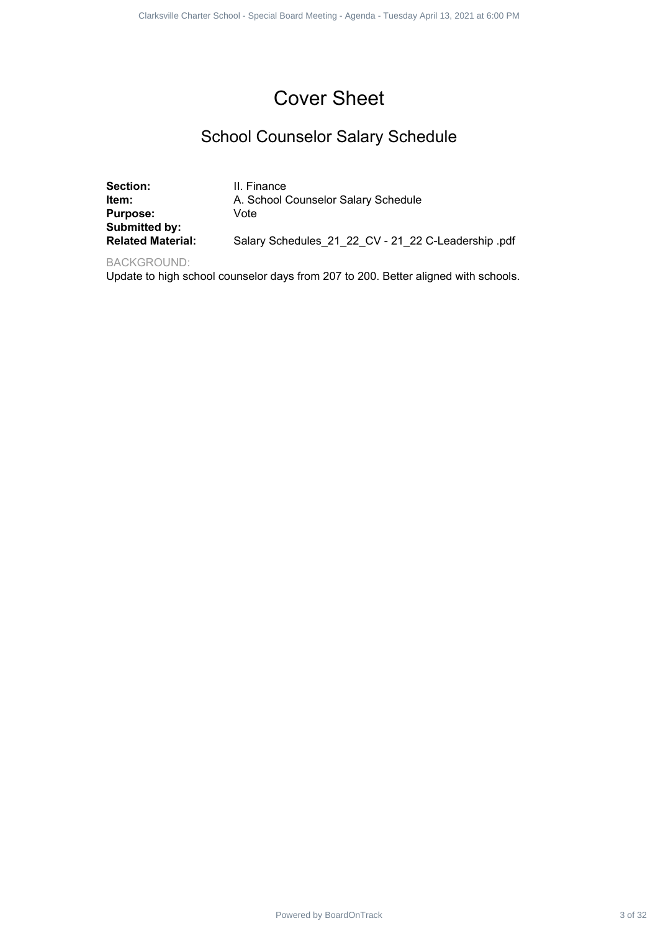# Cover Sheet

# School Counselor Salary Schedule

|                                                                                   | Clarksville Charter School - Special Board Meeting - Agenda - Tuesday April 13, 2021 at 6:00 PM                   |         |
|-----------------------------------------------------------------------------------|-------------------------------------------------------------------------------------------------------------------|---------|
|                                                                                   |                                                                                                                   |         |
|                                                                                   | <b>Cover Sheet</b>                                                                                                |         |
|                                                                                   | <b>School Counselor Salary Schedule</b>                                                                           |         |
| Section:<br>Item:<br><b>Purpose:</b><br>Submitted by:<br><b>Related Material:</b> | II. Finance<br>A. School Counselor Salary Schedule<br>Vote<br>Salary Schedules_21_22_CV - 21_22 C-Leadership .pdf |         |
| <b>BACKGROUND:</b>                                                                | Update to high school counselor days from 207 to 200. Better aligned with schools.                                |         |
|                                                                                   |                                                                                                                   |         |
|                                                                                   |                                                                                                                   |         |
|                                                                                   |                                                                                                                   |         |
|                                                                                   |                                                                                                                   |         |
|                                                                                   |                                                                                                                   |         |
|                                                                                   |                                                                                                                   |         |
|                                                                                   |                                                                                                                   |         |
|                                                                                   |                                                                                                                   |         |
|                                                                                   |                                                                                                                   |         |
|                                                                                   |                                                                                                                   |         |
|                                                                                   |                                                                                                                   |         |
|                                                                                   |                                                                                                                   |         |
|                                                                                   |                                                                                                                   |         |
|                                                                                   |                                                                                                                   |         |
|                                                                                   | Powered by BoardOnTrack                                                                                           | 3 of 32 |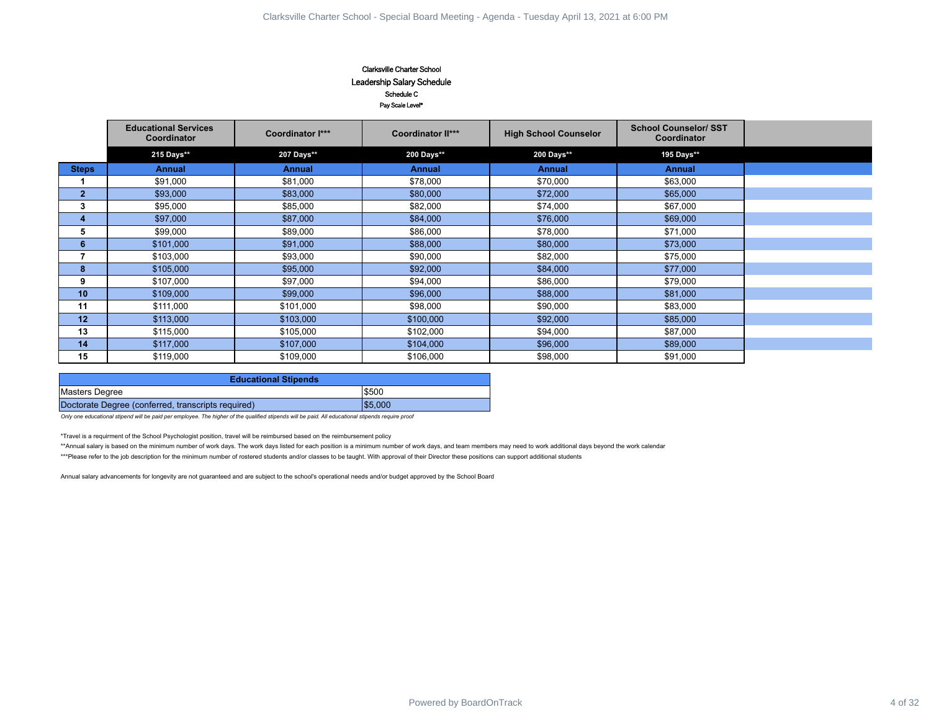#### Clarksville Charter School Leadership Salary Schedule Schedule C Pay Scale Level\*

|                         |                                                    |                                                                                                                                                                                                 | Clarksville Charter School<br>Leadership Salary Schedule<br>Schedule C<br>Pay Scale Level* |                                                                                                                                                                                                                  |                                             |         |
|-------------------------|----------------------------------------------------|-------------------------------------------------------------------------------------------------------------------------------------------------------------------------------------------------|--------------------------------------------------------------------------------------------|------------------------------------------------------------------------------------------------------------------------------------------------------------------------------------------------------------------|---------------------------------------------|---------|
|                         | <b>Educational Services</b><br>Coordinator         | Coordinator I***                                                                                                                                                                                | <b>Coordinator II***</b>                                                                   | <b>High School Counselor</b>                                                                                                                                                                                     | <b>School Counselor/ SST</b><br>Coordinator |         |
|                         | 215 Days**                                         | 207 Days**                                                                                                                                                                                      | 200 Days**                                                                                 | 200 Days**                                                                                                                                                                                                       | 195 Days**                                  |         |
| <b>Steps</b>            | <b>Annual</b>                                      | <b>Annual</b>                                                                                                                                                                                   | <b>Annual</b>                                                                              | <b>Annual</b>                                                                                                                                                                                                    | <b>Annual</b>                               |         |
| $\mathbf{1}$            | \$91,000                                           | \$81,000                                                                                                                                                                                        | \$78,000                                                                                   | \$70,000                                                                                                                                                                                                         | \$63,000                                    |         |
| 2 <sup>1</sup>          | \$93,000                                           | \$83,000                                                                                                                                                                                        | \$80,000                                                                                   | \$72,000                                                                                                                                                                                                         | \$65,000                                    |         |
| $\mathbf{3}$            | \$95,000                                           | \$85,000                                                                                                                                                                                        | \$82,000                                                                                   | \$74,000                                                                                                                                                                                                         | \$67,000                                    |         |
| $\overline{\mathbf{4}}$ | \$97,000                                           | \$87,000                                                                                                                                                                                        | \$84,000                                                                                   | \$76,000                                                                                                                                                                                                         | \$69,000                                    |         |
| 5                       | \$99,000                                           | \$89,000                                                                                                                                                                                        | \$86,000                                                                                   | \$78,000                                                                                                                                                                                                         | \$71,000                                    |         |
| $6\phantom{1}$          | \$101,000                                          | \$91,000                                                                                                                                                                                        | \$88,000                                                                                   | \$80,000                                                                                                                                                                                                         | \$73,000                                    |         |
| $\overline{7}$          | \$103,000                                          | \$93,000                                                                                                                                                                                        | \$90,000                                                                                   | \$82,000                                                                                                                                                                                                         | \$75,000                                    |         |
| $\bf{8}$                | \$105,000                                          | \$95,000                                                                                                                                                                                        | \$92,000                                                                                   | \$84,000                                                                                                                                                                                                         | \$77,000                                    |         |
| 9                       | \$107,000                                          | \$97,000                                                                                                                                                                                        | \$94,000                                                                                   | \$86,000                                                                                                                                                                                                         | \$79,000                                    |         |
| 10                      | \$109,000                                          | \$99,000                                                                                                                                                                                        | \$96,000                                                                                   | \$88,000                                                                                                                                                                                                         | \$81,000                                    |         |
| 11                      | \$111,000                                          | \$101,000                                                                                                                                                                                       | \$98,000                                                                                   | \$90,000                                                                                                                                                                                                         | \$83,000                                    |         |
| 12                      | \$113,000                                          | \$103,000                                                                                                                                                                                       | \$100,000                                                                                  | \$92,000                                                                                                                                                                                                         | \$85,000                                    |         |
| 13<br>14                | \$115,000<br>\$117,000                             | \$105,000<br>\$107,000                                                                                                                                                                          | \$102,000<br>\$104,000                                                                     | \$94,000<br>\$96,000                                                                                                                                                                                             | \$87,000<br>\$89,000                        |         |
| 15                      | \$119,000                                          | \$109,000                                                                                                                                                                                       | \$106,000                                                                                  | \$98,000                                                                                                                                                                                                         | \$91,000                                    |         |
|                         |                                                    |                                                                                                                                                                                                 |                                                                                            |                                                                                                                                                                                                                  |                                             |         |
|                         |                                                    | <b>Educational Stipends</b>                                                                                                                                                                     |                                                                                            |                                                                                                                                                                                                                  |                                             |         |
| Masters Degree          |                                                    |                                                                                                                                                                                                 | \$500                                                                                      |                                                                                                                                                                                                                  |                                             |         |
|                         | Doctorate Degree (conferred, transcripts required) |                                                                                                                                                                                                 | \$5,000                                                                                    |                                                                                                                                                                                                                  |                                             |         |
|                         |                                                    | Only one educational stipend will be paid per employee. The higher of the qualified stipends will be paid. All educational stipends require proof                                               |                                                                                            |                                                                                                                                                                                                                  |                                             |         |
|                         |                                                    | *Travel is a requirment of the School Psychologist position, travel will be reimbursed based on the reimbursement policy                                                                        |                                                                                            |                                                                                                                                                                                                                  |                                             |         |
|                         |                                                    |                                                                                                                                                                                                 |                                                                                            | **Annual salary is based on the minimum number of work days. The work days listed for each position is a minimum number of work days, and team members may need to work additional days beyond the work calendar |                                             |         |
|                         |                                                    | ***Please refer to the job description for the minimum number of rostered students and/or classes to be taught. With approval of their Director these positions can support additional students |                                                                                            |                                                                                                                                                                                                                  |                                             |         |
|                         |                                                    | Annual salary advancements for longevity are not guaranteed and are subject to the school's operational needs and/or budget approved by the School Board                                        |                                                                                            |                                                                                                                                                                                                                  |                                             |         |
|                         |                                                    |                                                                                                                                                                                                 |                                                                                            |                                                                                                                                                                                                                  |                                             |         |
|                         |                                                    |                                                                                                                                                                                                 |                                                                                            |                                                                                                                                                                                                                  |                                             |         |
|                         |                                                    |                                                                                                                                                                                                 |                                                                                            |                                                                                                                                                                                                                  |                                             |         |
|                         |                                                    |                                                                                                                                                                                                 |                                                                                            |                                                                                                                                                                                                                  |                                             |         |
|                         |                                                    |                                                                                                                                                                                                 |                                                                                            |                                                                                                                                                                                                                  |                                             |         |
|                         |                                                    |                                                                                                                                                                                                 |                                                                                            |                                                                                                                                                                                                                  |                                             |         |
|                         |                                                    |                                                                                                                                                                                                 |                                                                                            |                                                                                                                                                                                                                  |                                             |         |
|                         |                                                    |                                                                                                                                                                                                 |                                                                                            |                                                                                                                                                                                                                  |                                             |         |
|                         |                                                    |                                                                                                                                                                                                 |                                                                                            |                                                                                                                                                                                                                  |                                             |         |
|                         |                                                    |                                                                                                                                                                                                 |                                                                                            |                                                                                                                                                                                                                  |                                             |         |
|                         |                                                    |                                                                                                                                                                                                 |                                                                                            |                                                                                                                                                                                                                  |                                             |         |
|                         |                                                    |                                                                                                                                                                                                 |                                                                                            |                                                                                                                                                                                                                  |                                             |         |
|                         |                                                    |                                                                                                                                                                                                 |                                                                                            |                                                                                                                                                                                                                  |                                             |         |
|                         |                                                    |                                                                                                                                                                                                 |                                                                                            |                                                                                                                                                                                                                  |                                             |         |
|                         |                                                    |                                                                                                                                                                                                 |                                                                                            |                                                                                                                                                                                                                  |                                             |         |
|                         |                                                    |                                                                                                                                                                                                 |                                                                                            |                                                                                                                                                                                                                  |                                             |         |
|                         |                                                    |                                                                                                                                                                                                 | Powered by BoardOnTrack                                                                    |                                                                                                                                                                                                                  |                                             | 4 of 32 |

| <b>Educational Stipends</b>                        |         |
|----------------------------------------------------|---------|
| Masters Degree                                     | \$500   |
| Doctorate Degree (conferred, transcripts required) | \$5.000 |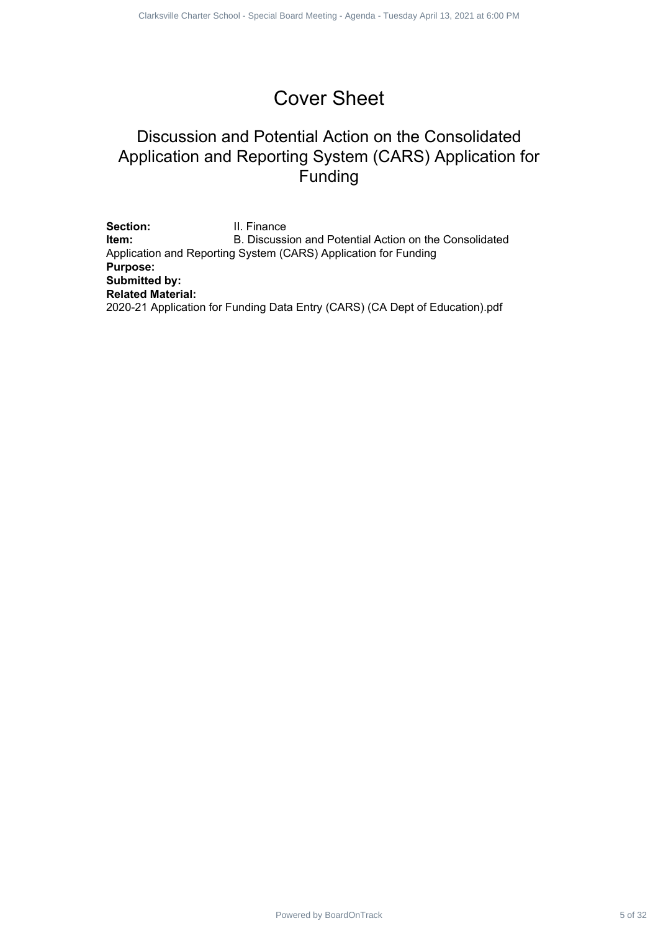# Cover Sheet

# Discussion and Potential Action on the Consolidated Application and Reporting System (CARS) Application for Funding

Section: **II. Finance Item:** B. Discussion and Potential Action on the Consolidated Application and Reporting System (CARS) Application for Funding **Purpose: Submitted by: Related Material:** 2020-21 Application for Funding Data Entry (CARS) (CA Dept of Education).pdf Powered by Board School - Special Board Decision<br>
Discussion and Potential Action on the Consolidated<br>
plication and Reporting System (CARS) Application for<br>
- El Franco<br>
- El Franco<br>
Board Meeting - Special Board Meeting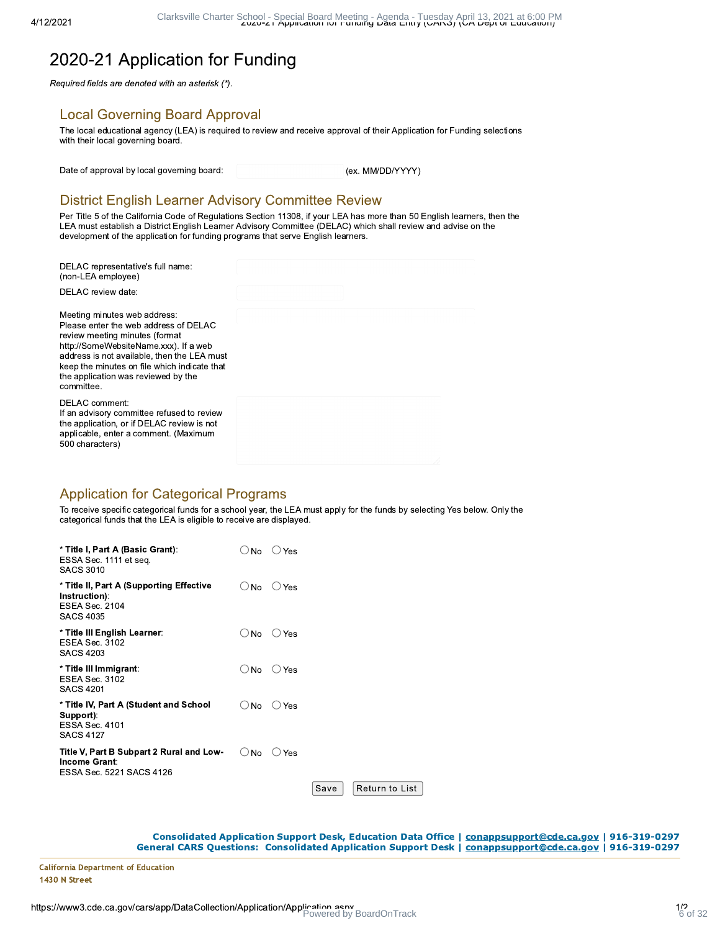# 2020-21 Application for Funding

Required fields are denoted with an asterisk (\*).

#### **Local Governing Board Approval**

The local educational agency (LEA) is required to review and receive approval of their Application for Funding selections with their local governing board.

Date of approval by local governing board:

(ex. MM/DD/YYYY)

## **District English Learner Advisory Committee Review**

Per Title 5 of the California Code of Regulations Section 11308, if your LEA has more than 50 English learners, then the LEA must establish a District English Learner Advisory Committee (DELAC) which shall review and advise on the development of the application for funding programs that serve English learners.

| DELAC representative's full name:<br>(non-LEA employee)                                                                                                                                                                                                                                              |  |
|------------------------------------------------------------------------------------------------------------------------------------------------------------------------------------------------------------------------------------------------------------------------------------------------------|--|
| DELAC review date:                                                                                                                                                                                                                                                                                   |  |
| Meeting minutes web address.<br>Please enter the web address of DELAC<br>review meeting minutes (format<br>http://SomeWebsiteName.xxx). If a web<br>address is not available, then the LEA must<br>keep the minutes on file which indicate that<br>the application was reviewed by the<br>committee. |  |
| DELAC comment:<br>If an advisory committee refused to review<br>the application, or if DELAC review is not<br>applicable, enter a comment. (Maximum<br>500 characters)                                                                                                                               |  |

#### **Application for Categorical Programs**

To receive specific categorical funds for a school year, the LEA must apply for the funds by selecting Yes below. Only the categorical funds that the LEA is eligible to receive are displayed.

| * Title I, Part A (Basic Grant):<br>ESSA Sec. 1111 et seq.<br>SACS 3010                          | No            | ⊃ Yes    |      |                |  |
|--------------------------------------------------------------------------------------------------|---------------|----------|------|----------------|--|
| * Title II, Part A (Supporting Effective<br>Instruction):<br>ESEA Sec. 2104<br><b>SACS 4035</b>  | $\bigcirc$ No | $()$ Yes |      |                |  |
| * Title III English Learner:<br>ESEA Sec. 3102<br><b>SACS 4203</b>                               | $\cup$ No     | () Yes   |      |                |  |
| * Title III Immigrant:<br>ESEA Sec. 3102<br><b>SACS 4201</b>                                     | $\bigcirc$ No | $()$ Yes |      |                |  |
| * Title IV, Part A (Student and School<br>Support):<br><b>ESSA Sec. 4101</b><br><b>SACS 4127</b> | <b>No</b>     | Yes      |      |                |  |
| Title V, Part B Subpart 2 Rural and Low-<br>Income Grant:<br>ESSA Sec. 5221 SACS 4126            | No            | Yes      |      |                |  |
|                                                                                                  |               |          | Save | Return to List |  |

Consolidated Application Support Desk, Education Data Office | conappsupport@cde.ca.gov | 916-319-0297 General CARS Questions: Consolidated Application Support Desk | COnappsupport@cde.ca.gov | 916-319-0297

**California Department of Education** 1430 N Street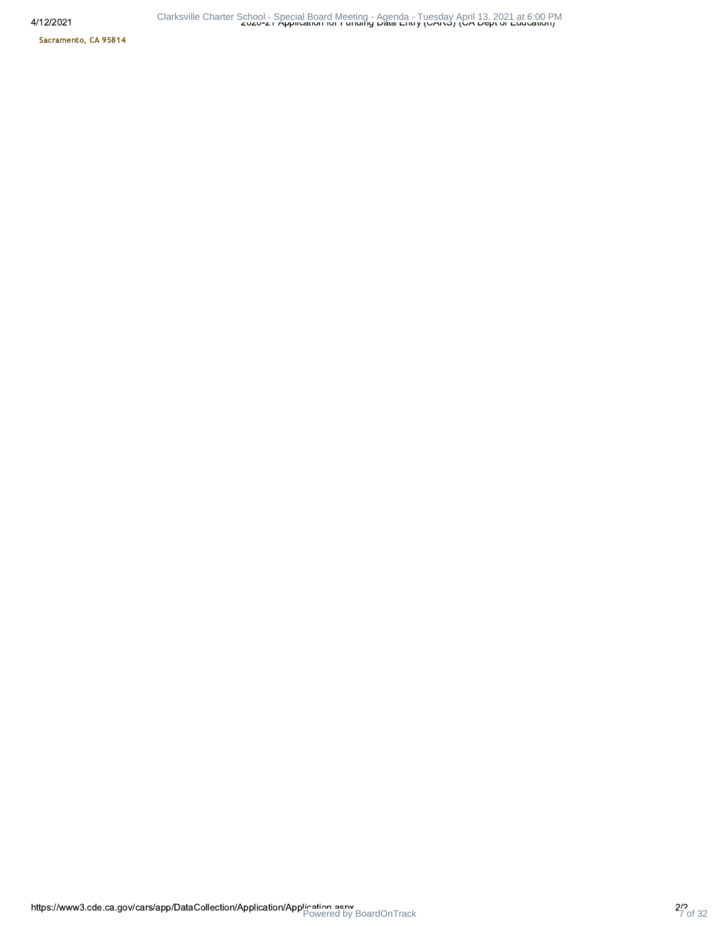4/12/2

Sacramento, CA 95814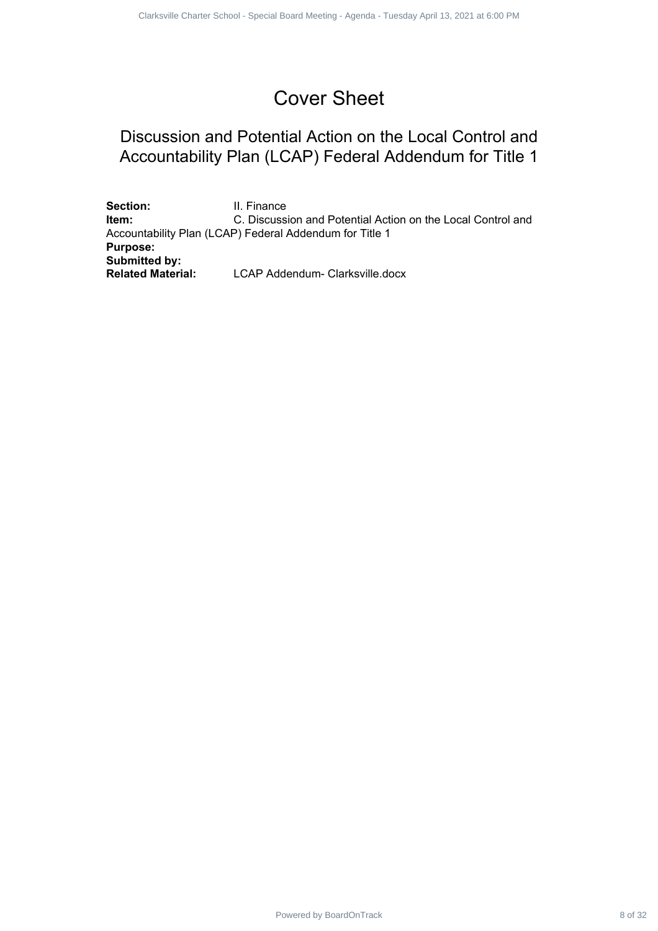# Cover Sheet

# Discussion and Potential Action on the Local Control and Accountability Plan (LCAP) Federal Addendum for Title 1

Section: **II. Finance Item:** C. Discussion and Potential Action on the Local Control and Accountability Plan (LCAP) Federal Addendum for Title 1 **Purpose: Submitted by: Related Material:** LCAP Addendum- Clarksville.docx Powered by Board Service Special Charter School - Special Board Control and<br>
Power Sheet<br>
School and Power Charter School - Special Board Meeting - Agenda - Tuesday<br>
The Meeting - Comparison and Powering April 2021 at 6:00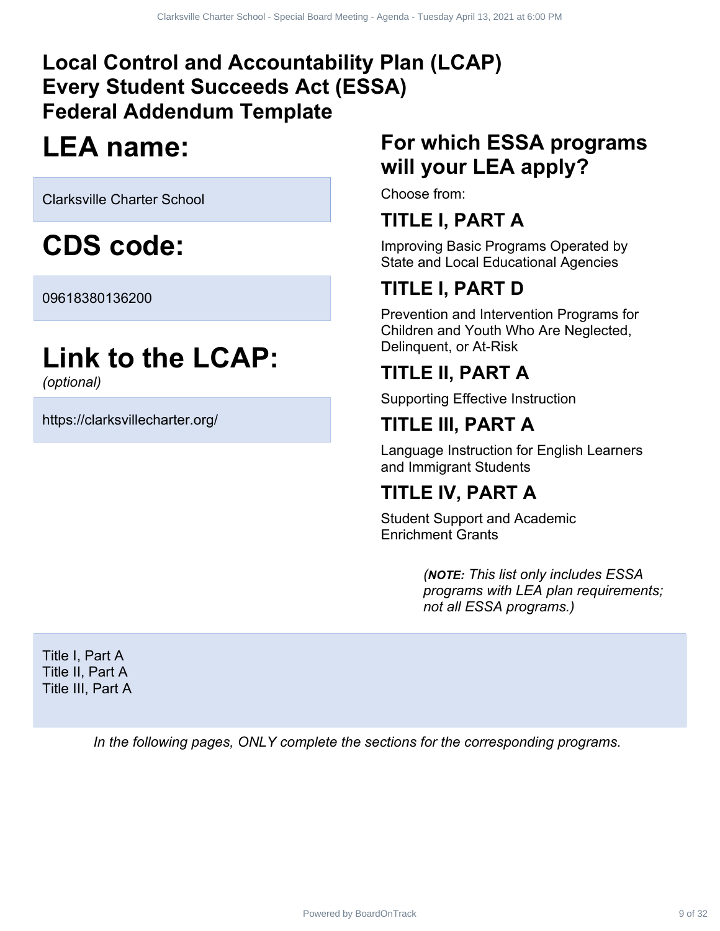# **Local Control and Accountability Plan (LCAP) Every Student Succeeds Act (ESSA) Federal Addendum Template** Powered a Act (ESSA)<br>
Power Leader Act (ESSA)<br>
Hendum Template<br>
Pe: For which ESSA programs<br>
Will your LEA apply?<br>
School<br>
Choose from:<br>
TITLE I, PART A<br>
Improving Basic Programs Operated by<br>
Side and Local Ecclesitional A

# **LEA name:**

Clarksville Charter School

**CDS code:**

09618380136200

# **Link to the LCAP:**

*(optional)*

https://clarksvillecharter.org/

# **For which ESSA programs will your LEA apply?**

Choose from:

# **TITLE I, PART A**

Improving Basic Programs Operated by State and Local Educational Agencies

# **TITLE I, PART D**

Prevention and Intervention Programs for Children and Youth Who Are Neglected, Delinquent, or At-Risk

# **TITLE II, PART A**

Supporting Effective Instruction

# **TITLE III, PART A**

Language Instruction for English Learners and Immigrant Students

# **TITLE IV, PART A**

Student Support and Academic Enrichment Grants

> *(NOTE: This list only includes ESSA programs with LEA plan requirements; not all ESSA programs.)*

Title I, Part A Title II, Part A Title III, Part A

*In the following pages, ONLY complete the sections for the corresponding programs.*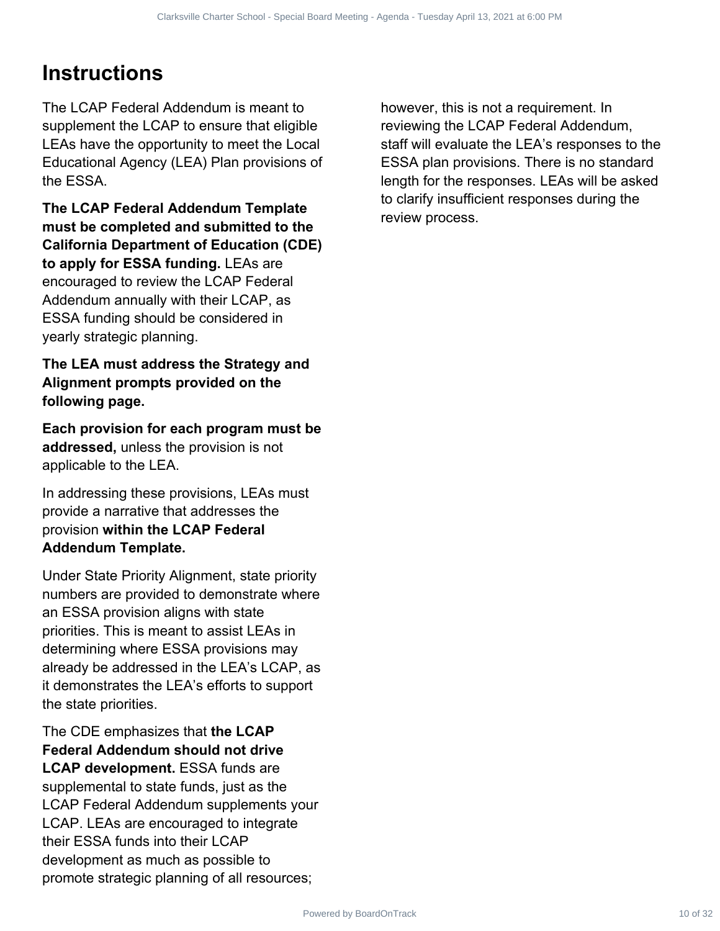# **Instructions**

The LCAP Federal Addendum is meant to supplement the LCAP to ensure that eligible LEAs have the opportunity to meet the Local Educational Agency (LEA) Plan provisions of the ESSA.

**The LCAP Federal Addendum Template must be completed and submitted to the California Department of Education (CDE) to apply for ESSA funding.** LEAs are encouraged to review the LCAP Federal Addendum annually with their LCAP, as ESSA funding should be considered in yearly strategic planning.

#### **The LEA must address the Strategy and Alignment prompts provided on the following page.**

**Each provision for each program must be addressed,** unless the provision is not applicable to the LEA.

In addressing these provisions, LEAs must provide a narrative that addresses the provision **within the LCAP Federal Addendum Template.**

Under State Priority Alignment, state priority numbers are provided to demonstrate where an ESSA provision aligns with state priorities. This is meant to assist LEAs in determining where ESSA provisions may already be addressed in the LEA's LCAP, as it demonstrates the LEA's efforts to support the state priorities.

The CDE emphasizes that **the LCAP Federal Addendum should not drive LCAP development.** ESSA funds are supplemental to state funds, just as the LCAP Federal Addendum supplements your LCAP. LEAs are encouraged to integrate their ESSA funds into their LCAP development as much as possible to promote strategic planning of all resources;

however, this is not a requirement. In reviewing the LCAP Federal Addendum, staff will evaluate the LEA's responses to the ESSA plan provisions. There is no standard length for the responses. LEAs will be asked to clarify insufficient responses during the review process. Charles Charter Special Board Meetings - Tuesday and District and Charter Charter Charter Charter Charter School - Special Addentum<br>
Declarksville Charter School - Special Board Meeting - Agenda Addentum<br>
The Charter Schoo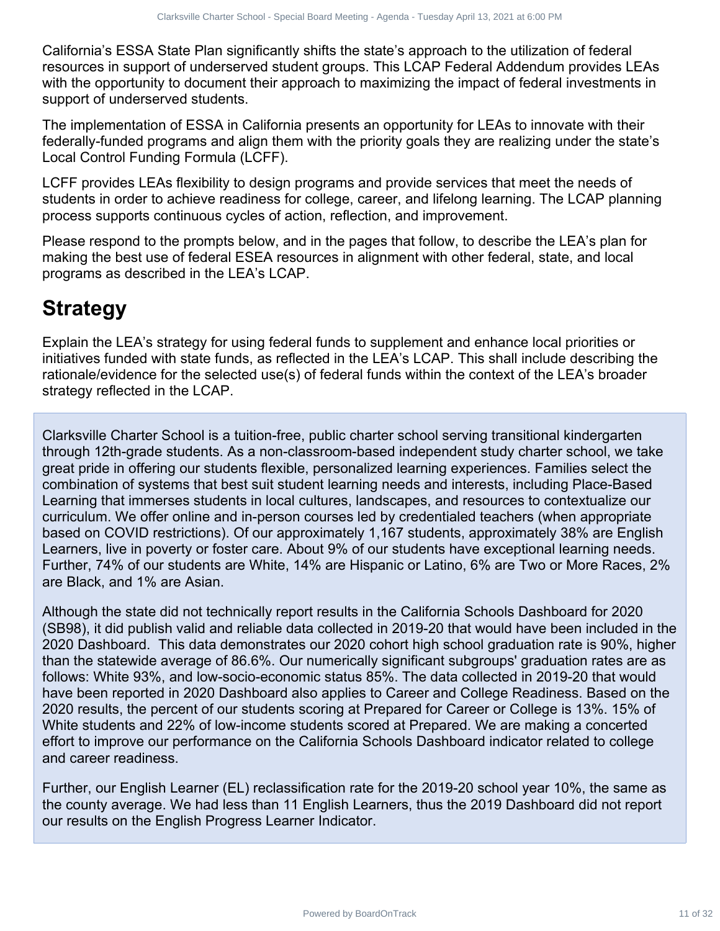California's ESSA State Plan significantly shifts the state's approach to the utilization of federal resources in support of underserved student groups. This LCAP Federal Addendum provides LEAs with the opportunity to document their approach to maximizing the impact of federal investments in support of underserved students.

The implementation of ESSA in California presents an opportunity for LEAs to innovate with their federally-funded programs and align them with the priority goals they are realizing under the state's Local Control Funding Formula (LCFF).

LCFF provides LEAs flexibility to design programs and provide services that meet the needs of students in order to achieve readiness for college, career, and lifelong learning. The LCAP planning process supports continuous cycles of action, reflection, and improvement.

Please respond to the prompts below, and in the pages that follow, to describe the LEA's plan for making the best use of federal ESEA resources in alignment with other federal, state, and local programs as described in the LEA's LCAP.

# **Strategy**

Explain the LEA's strategy for using federal funds to supplement and enhance local priorities or initiatives funded with state funds, as reflected in the LEA's LCAP. This shall include describing the rationale/evidence for the selected use(s) of federal funds within the context of the LEA's broader strategy reflected in the LCAP.

Clarksville Charter School is a tuition-free, public charter school serving transitional kindergarten through 12th-grade students. As a non-classroom-based independent study charter school, we take great pride in offering our students flexible, personalized learning experiences. Families select the combination of systems that best suit student learning needs and interests, including Place-Based Learning that immerses students in local cultures, landscapes, and resources to contextualize our curriculum. We offer online and in-person courses led by credentialed teachers (when appropriate based on COVID restrictions). Of our approximately 1,167 students, approximately 38% are English Learners, live in poverty or foster care. About 9% of our students have exceptional learning needs. Further, 74% of our students are White, 14% are Hispanic or Latino, 6% are Two or More Races, 2% are Black, and 1% are Asian.

Although the state did not technically report results in the California Schools Dashboard for 2020 (SB98), it did publish valid and reliable data collected in 2019-20 that would have been included in the 2020 Dashboard. This data demonstrates our 2020 cohort high school graduation rate is 90%, higher than the statewide average of 86.6%. Our numerically significant subgroups' graduation rates are as follows: White 93%, and low-socio-economic status 85%. The data collected in 2019-20 that would have been reported in 2020 Dashboard also applies to Career and College Readiness. Based on the 2020 results, the percent of our students scoring at Prepared for Career or College is 13%. 15% of White students and 22% of low-income students scored at Prepared. We are making a concerted effort to improve our performance on the California Schools Dashboard indicator related to college and career readiness. Clear the term is the statistic state of the statistic statistic special in the statistical of federal<br>of the Dian significantly shifts the statistic special by the district of federal<br>of the distributed student of the sta

Further, our English Learner (EL) reclassification rate for the 2019-20 school year 10%, the same as the county average. We had less than 11 English Learners, thus the 2019 Dashboard did not report our results on the English Progress Learner Indicator.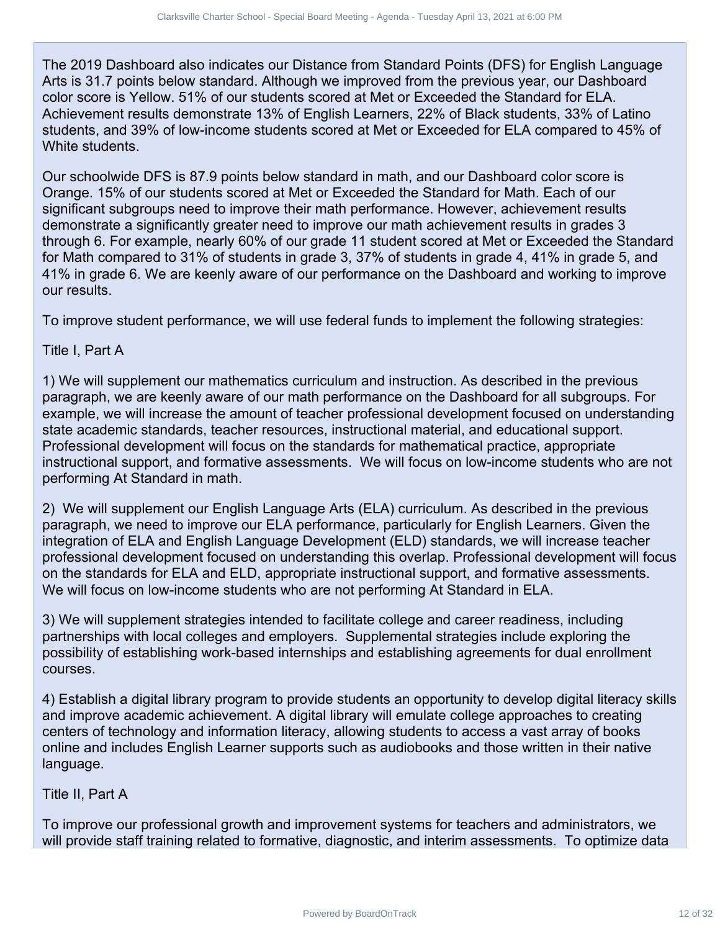The 2019 Dashboard also indicates our Distance from Standard Points (DFS) for English Language Arts is 31.7 points below standard. Although we improved from the previous year, our Dashboard color score is Yellow. 51% of our students scored at Met or Exceeded the Standard for ELA. Achievement results demonstrate 13% of English Learners, 22% of Black students, 33% of Latino students, and 39% of low-income students scored at Met or Exceeded for ELA compared to 45% of White students

Our schoolwide DFS is 87.9 points below standard in math, and our Dashboard color score is Orange. 15% of our students scored at Met or Exceeded the Standard for Math. Each of our significant subgroups need to improve their math performance. However, achievement results demonstrate a significantly greater need to improve our math achievement results in grades 3 through 6. For example, nearly 60% of our grade 11 student scored at Met or Exceeded the Standard for Math compared to 31% of students in grade 3, 37% of students in grade 4, 41% in grade 5, and 41% in grade 6. We are keenly aware of our performance on the Dashboard and working to improve our results. Charlo Charter Special the Homos Agency Tends Temple (12 Of Albang April 2021)<br>
Hotel by Bordonta auto Dislamate form Standard Points (DPS), for English Language<br>
Hotel w standard . AMhough we improved from the previous ye

To improve student performance, we will use federal funds to implement the following strategies:

#### Title I, Part A

1) We will supplement our mathematics curriculum and instruction. As described in the previous paragraph, we are keenly aware of our math performance on the Dashboard for all subgroups. For example, we will increase the amount of teacher professional development focused on understanding state academic standards, teacher resources, instructional material, and educational support. Professional development will focus on the standards for mathematical practice, appropriate instructional support, and formative assessments. We will focus on low-income students who are not performing At Standard in math.

2) We will supplement our English Language Arts (ELA) curriculum. As described in the previous paragraph, we need to improve our ELA performance, particularly for English Learners. Given the integration of ELA and English Language Development (ELD) standards, we will increase teacher professional development focused on understanding this overlap. Professional development will focus on the standards for ELA and ELD, appropriate instructional support, and formative assessments. We will focus on low-income students who are not performing At Standard in ELA.

3) We will supplement strategies intended to facilitate college and career readiness, including partnerships with local colleges and employers. Supplemental strategies include exploring the possibility of establishing work-based internships and establishing agreements for dual enrollment courses.

4) Establish a digital library program to provide students an opportunity to develop digital literacy skills and improve academic achievement. A digital library will emulate college approaches to creating centers of technology and information literacy, allowing students to access a vast array of books online and includes English Learner supports such as audiobooks and those written in their native language.

#### Title II, Part A

To improve our professional growth and improvement systems for teachers and administrators, we will provide staff training related to formative, diagnostic, and interim assessments. To optimize data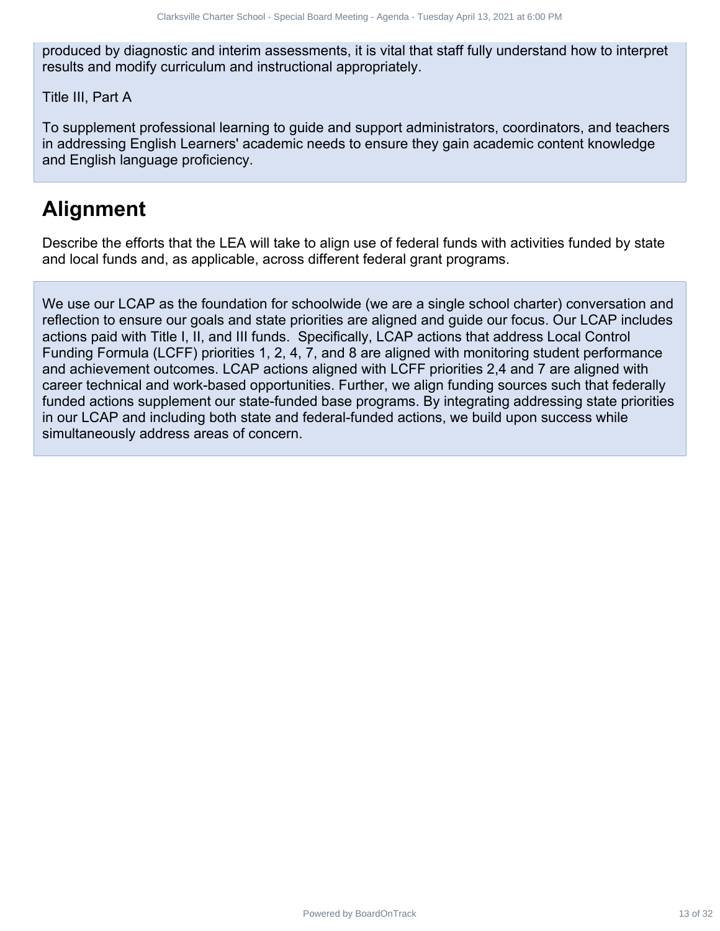produced by diagnostic and interim assessments, it is vital that staff fully understand how to interpret results and modify curriculum and instructional appropriately.

Title III, Part A

To supplement professional learning to guide and support administrators, coordinators, and teachers in addressing English Learners' academic needs to ensure they gain academic content knowledge and English language proficiency.

# **Alignment**

Describe the efforts that the LEA will take to align use of federal funds with activities funded by state and local funds and, as applicable, across different federal grant programs.

We use our LCAP as the foundation for schoolwide (we are a single school charter) conversation and reflection to ensure our goals and state priorities are aligned and guide our focus. Our LCAP includes actions paid with Title I, II, and III funds. Specifically, LCAP actions that address Local Control Funding Formula (LCFF) priorities 1, 2, 4, 7, and 8 are aligned with monitoring student performance and achievement outcomes. LCAP actions aligned with LCFF priorities 2,4 and 7 are aligned with career technical and work-based opportunities. Further, we align funding sources such that federally funded actions supplement our state-funded base programs. By integrating addressing state priorities in our LCAP and including both state and federal-funded actions, we build upon success while simultaneously address areas of concern. Charter Charter Special Board Special Board - Tuesday and 13, 2021 at 6:00 PM of the properties of the control of the Visib Hital Staff fully understand how to interpret<br>control unit and materials in the Visib Walter Schoo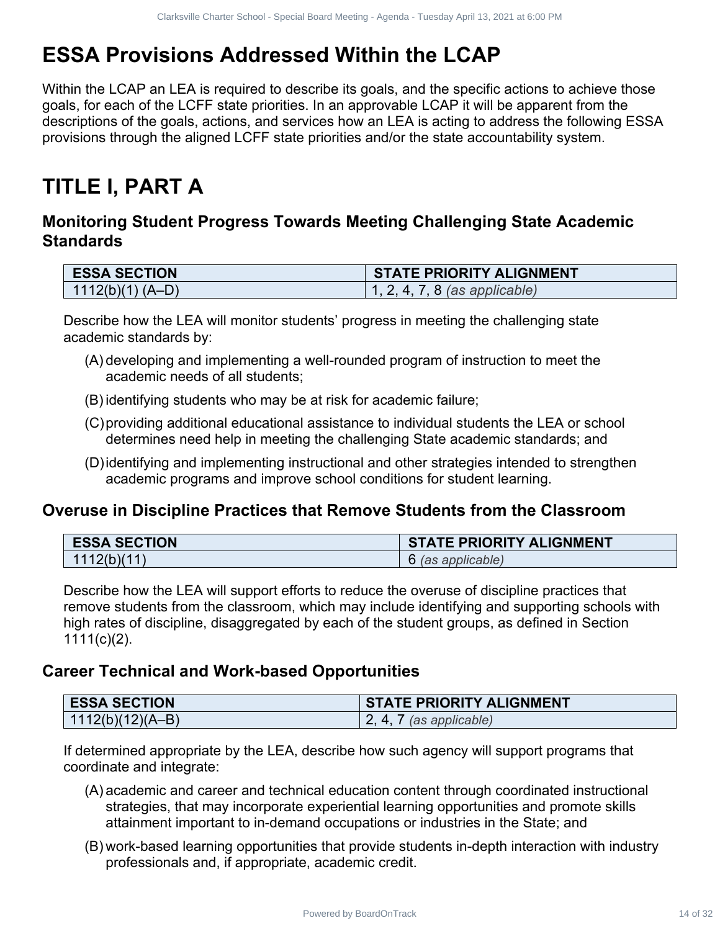# **ESSA Provisions Addressed Within the LCAP**

Within the LCAP an LEA is required to describe its goals, and the specific actions to achieve those goals, for each of the LCFF state priorities. In an approvable LCAP it will be apparent from the descriptions of the goals, actions, and services how an LEA is acting to address the following ESSA provisions through the aligned LCFF state priorities and/or the state accountability system. Charles Seven Special Meetings 14 of 32 Clarksville Charter School Charter School<br>
14 Discretifful and the Charter School of the Charter School and the specific school is a charter specific and<br>
14 of 22 Clarks and service

# **TITLE I, PART A**

## **Monitoring Student Progress Towards Meeting Challenging State Academic Standards**

| <b>ESSA SECTION</b>  | <b>STATE PRIORITY ALIGNMENT</b> |
|----------------------|---------------------------------|
| $(1112(b)(1) (A-D))$ | 1, 2, 4, 7, 8 (as applicable)   |

Describe how the LEA will monitor students' progress in meeting the challenging state academic standards by:

- (A) developing and implementing a well-rounded program of instruction to meet the academic needs of all students;
- (B) identifying students who may be at risk for academic failure;
- (C)providing additional educational assistance to individual students the LEA or school determines need help in meeting the challenging State academic standards; and
- (D)identifying and implementing instructional and other strategies intended to strengthen academic programs and improve school conditions for student learning.

## **Overuse in Discipline Practices that Remove Students from the Classroom**

| <b>ESSA SECTION</b> | <b>STATE PRIORITY ALIGNMENT</b> |
|---------------------|---------------------------------|
| 1112(b)(11)         | 6 (as applicable)               |

Describe how the LEA will support efforts to reduce the overuse of discipline practices that remove students from the classroom, which may include identifying and supporting schools with high rates of discipline, disaggregated by each of the student groups, as defined in Section  $1111(c)(2)$ .

## **Career Technical and Work-based Opportunities**

| <b>ESSA SECTION</b>  | <b>STATE PRIORITY ALIGNMENT</b> |
|----------------------|---------------------------------|
| $  1112(b)(12)(A-B)$ | (as applicable)                 |

If determined appropriate by the LEA, describe how such agency will support programs that coordinate and integrate:

- (A) academic and career and technical education content through coordinated instructional strategies, that may incorporate experiential learning opportunities and promote skills attainment important to in-demand occupations or industries in the State; and
- (B) work-based learning opportunities that provide students in-depth interaction with industry professionals and, if appropriate, academic credit.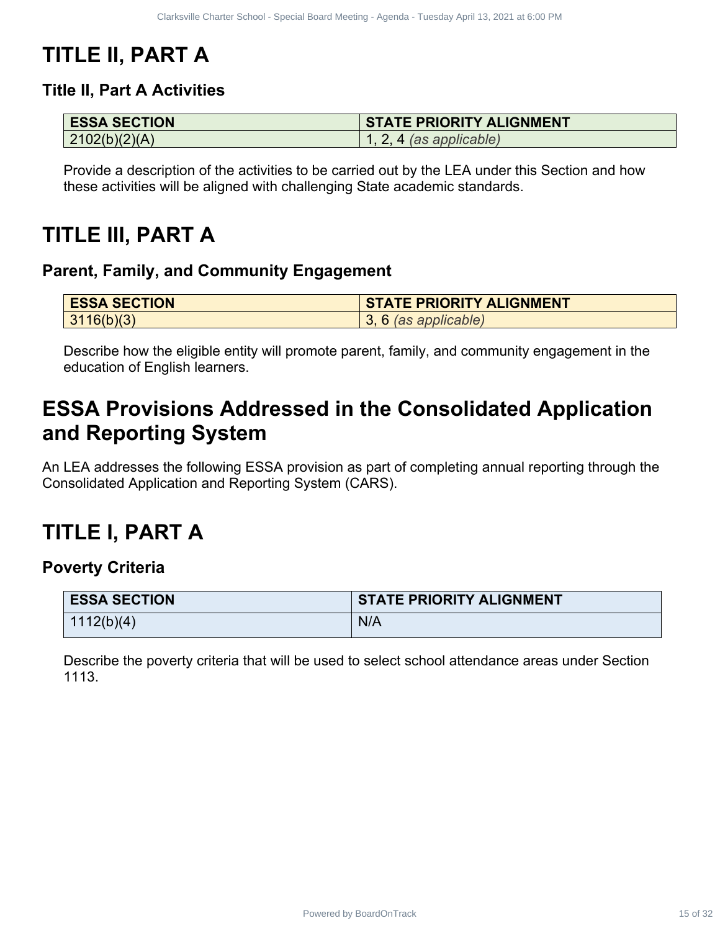# **TITLE II, PART A**

## **Title II, Part A Activities**

| <b>ESSA SECTION</b> | <b>STATE PRIORITY ALIGNMENT</b> |
|---------------------|---------------------------------|
| 2102(b)(2)(A)       | $\vert$ 1, 2, 4 (as applicable) |

# **TITLE III, PART A**

## **Parent, Family, and Community Engagement**

| <b>ESSA SECTION</b> | <b>STATE PRIORITY ALIGNMENT</b> |
|---------------------|---------------------------------|
| 3116(b)(3)          | 3, 6 (as applicable)            |

# **ESSA Provisions Addressed in the Consolidated Application and Reporting System**

# **TITLE I, PART A**

## **Poverty Criteria**

| <b>ESSA SECTION</b>                                                                                                         | <b>STATE PRIORITY ALIGNMENT</b>                                                                                                                                                |
|-----------------------------------------------------------------------------------------------------------------------------|--------------------------------------------------------------------------------------------------------------------------------------------------------------------------------|
| 2102(b)(2)(A)                                                                                                               | $1, 2, 4$ (as applicable)                                                                                                                                                      |
|                                                                                                                             | Provide a description of the activities to be carried out by the LEA under this Section and how<br>these activities will be aligned with challenging State academic standards. |
| TLE III, PART A<br>rent, Family, and Community Engagement                                                                   |                                                                                                                                                                                |
| <b>ESSA SECTION</b>                                                                                                         | <b>STATE PRIORITY ALIGNMENT</b>                                                                                                                                                |
| 3116(b)(3)                                                                                                                  | 3, 6 (as applicable)                                                                                                                                                           |
|                                                                                                                             | LEA addresses the following ESSA provision as part of completing annual reporting through the                                                                                  |
|                                                                                                                             |                                                                                                                                                                                |
| nsolidated Application and Reporting System (CARS).<br>TLE I. PART A<br>verty Criteria<br><b>ESSA SECTION</b><br>1112(b)(4) | <b>STATE PRIORITY ALIGNMENT</b><br>N/A                                                                                                                                         |
| 1113.                                                                                                                       |                                                                                                                                                                                |
|                                                                                                                             | Describe the poverty criteria that will be used to select school attendance areas under Section                                                                                |
|                                                                                                                             |                                                                                                                                                                                |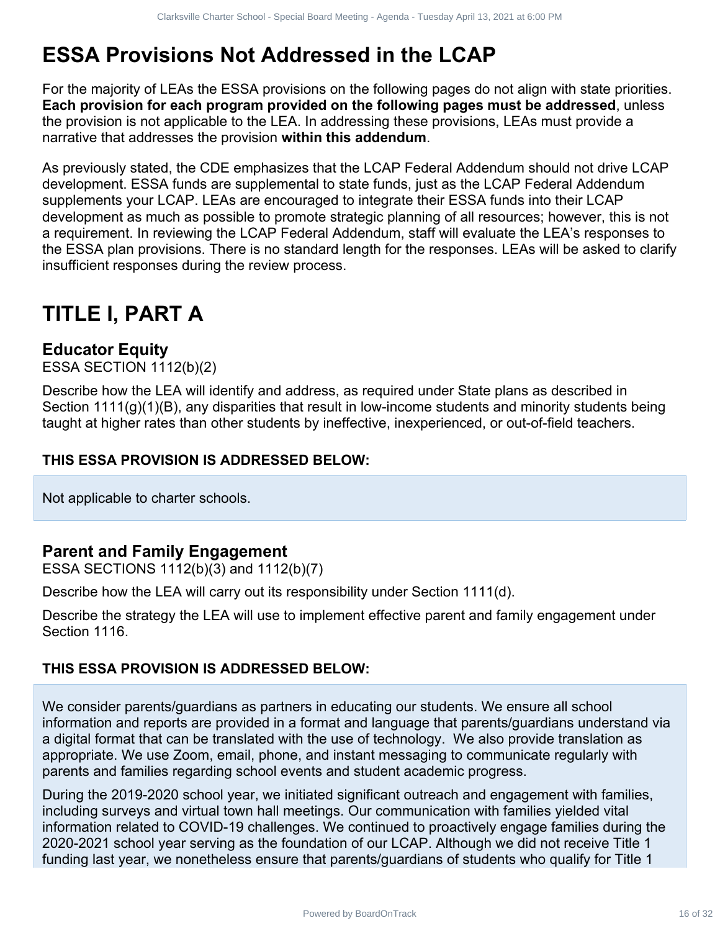# **ESSA Provisions Not Addressed in the LCAP**

For the majority of LEAs the ESSA provisions on the following pages do not align with state priorities. **Each provision for each program provided on the following pages must be addressed**, unless the provision is not applicable to the LEA. In addressing these provisions, LEAs must provide a narrative that addresses the provision **within this addendum**.

As previously stated, the CDE emphasizes that the LCAP Federal Addendum should not drive LCAP development. ESSA funds are supplemental to state funds, just as the LCAP Federal Addendum supplements your LCAP. LEAs are encouraged to integrate their ESSA funds into their LCAP development as much as possible to promote strategic planning of all resources; however, this is not a requirement. In reviewing the LCAP Federal Addendum, staff will evaluate the LEA's responses to the ESSA plan provisions. There is no standard length for the responses. LEAs will be asked to clarify insufficient responses during the review process. **Shareholders for distribution of 22 Clarks 16 of 24 Of 24 Of 24 Clarks 16 of 32 Clarks and Fig. 16 of 32 Clarks 16 of 32 Clarks 16 of 32 Clarks in the CAP and the School of the ELA in addensign these people must be addres** 

# **TITLE I, PART A**

## **Educator Equity**

ESSA SECTION 1112(b)(2)

Describe how the LEA will identify and address, as required under State plans as described in Section 1111(g)(1)(B), any disparities that result in low-income students and minority students being taught at higher rates than other students by ineffective, inexperienced, or out-of-field teachers.

#### **THIS ESSA PROVISION IS ADDRESSED BELOW:**

Not applicable to charter schools.

## **Parent and Family Engagement**

ESSA SECTIONS 1112(b)(3) and 1112(b)(7)

Describe how the LEA will carry out its responsibility under Section 1111(d).

Describe the strategy the LEA will use to implement effective parent and family engagement under Section 1116.

#### **THIS ESSA PROVISION IS ADDRESSED BELOW:**

We consider parents/guardians as partners in educating our students. We ensure all school information and reports are provided in a format and language that parents/guardians understand via a digital format that can be translated with the use of technology. We also provide translation as appropriate. We use Zoom, email, phone, and instant messaging to communicate regularly with parents and families regarding school events and student academic progress.

During the 2019-2020 school year, we initiated significant outreach and engagement with families, including surveys and virtual town hall meetings. Our communication with families yielded vital information related to COVID-19 challenges. We continued to proactively engage families during the 2020-2021 school year serving as the foundation of our LCAP. Although we did not receive Title 1 funding last year, we nonetheless ensure that parents/guardians of students who qualify for Title 1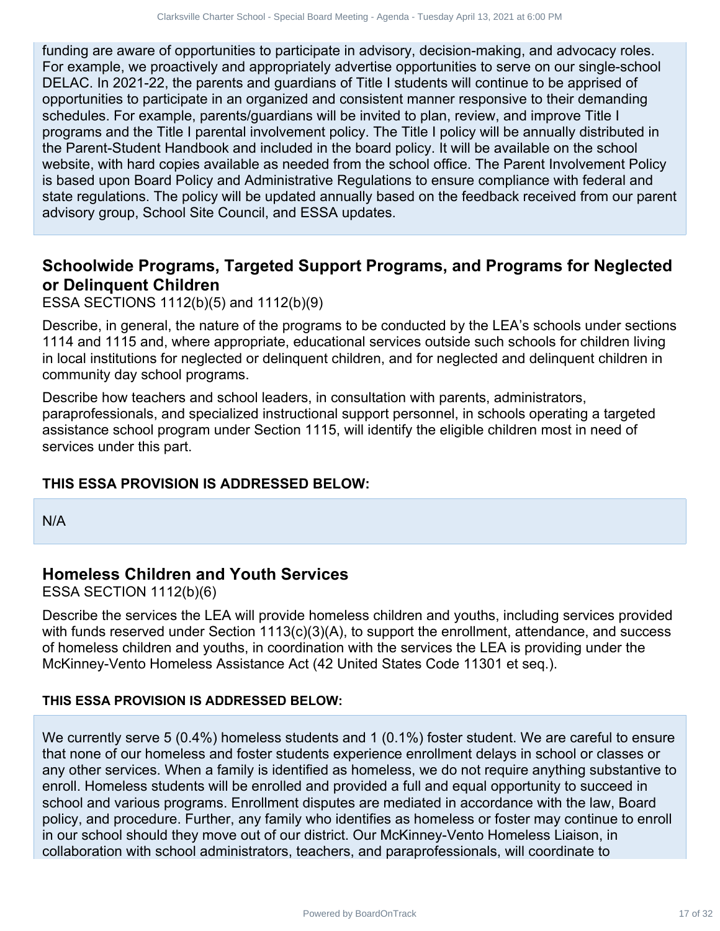funding are aware of opportunities to participate in advisory, decision-making, and advocacy roles. For example, we proactively and appropriately advertise opportunities to serve on our single-school DELAC. In 2021-22, the parents and guardians of Title I students will continue to be apprised of opportunities to participate in an organized and consistent manner responsive to their demanding schedules. For example, parents/guardians will be invited to plan, review, and improve Title I programs and the Title I parental involvement policy. The Title I policy will be annually distributed in the Parent-Student Handbook and included in the board policy. It will be available on the school website, with hard copies available as needed from the school office. The Parent Involvement Policy is based upon Board Policy and Administrative Regulations to ensure compliance with federal and state regulations. The policy will be updated annually based on the feedback received from our parent advisory group, School Site Council, and ESSA updates. Contract the many of the state of the state of the state of the state of the state of the state of the state of the state of the state of the state of the state of the state of the state of the state of the state of the st

## **Schoolwide Programs, Targeted Support Programs, and Programs for Neglected or Delinquent Children**

ESSA SECTIONS 1112(b)(5) and 1112(b)(9)

Describe, in general, the nature of the programs to be conducted by the LEA's schools under sections 1114 and 1115 and, where appropriate, educational services outside such schools for children living in local institutions for neglected or delinquent children, and for neglected and delinquent children in community day school programs.

Describe how teachers and school leaders, in consultation with parents, administrators, paraprofessionals, and specialized instructional support personnel, in schools operating a targeted assistance school program under Section 1115, will identify the eligible children most in need of services under this part.

#### **THIS ESSA PROVISION IS ADDRESSED BELOW:**

N/A

## **Homeless Children and Youth Services**

ESSA SECTION 1112(b)(6)

Describe the services the LEA will provide homeless children and youths, including services provided with funds reserved under Section  $1113(c)(3)(A)$ , to support the enrollment, attendance, and success of homeless children and youths, in coordination with the services the LEA is providing under the McKinney-Vento Homeless Assistance Act (42 United States Code 11301 et seq.).

#### **THIS ESSA PROVISION IS ADDRESSED BELOW:**

We currently serve 5 (0.4%) homeless students and 1 (0.1%) foster student. We are careful to ensure that none of our homeless and foster students experience enrollment delays in school or classes or any other services. When a family is identified as homeless, we do not require anything substantive to enroll. Homeless students will be enrolled and provided a full and equal opportunity to succeed in school and various programs. Enrollment disputes are mediated in accordance with the law, Board policy, and procedure. Further, any family who identifies as homeless or foster may continue to enroll in our school should they move out of our district. Our McKinney-Vento Homeless Liaison, in collaboration with school administrators, teachers, and paraprofessionals, will coordinate to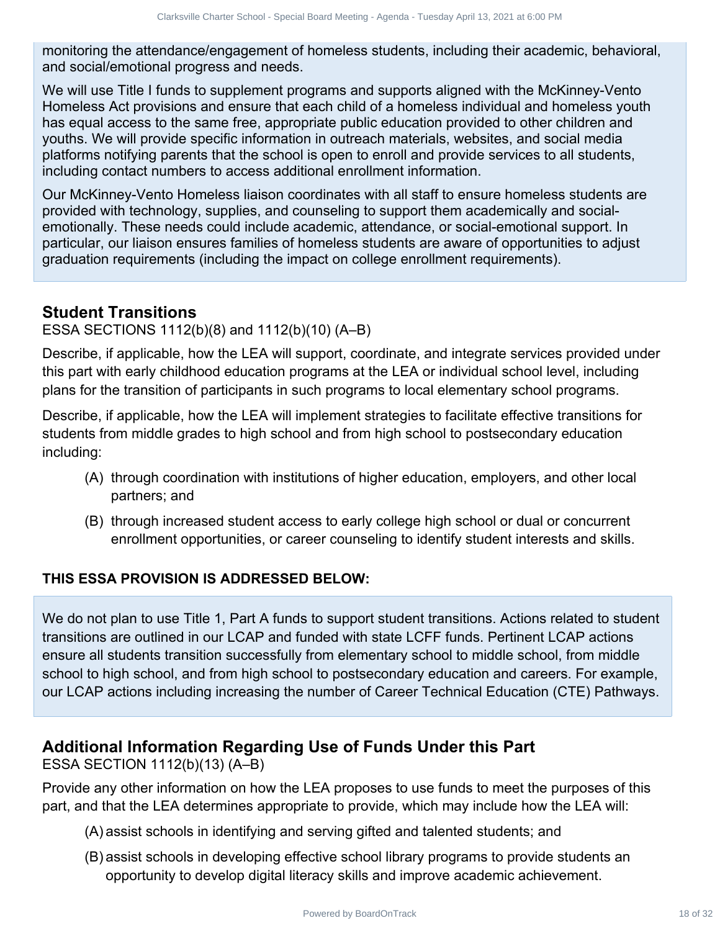monitoring the attendance/engagement of homeless students, including their academic, behavioral, and social/emotional progress and needs.

We will use Title I funds to supplement programs and supports aligned with the McKinney-Vento Homeless Act provisions and ensure that each child of a homeless individual and homeless youth has equal access to the same free, appropriate public education provided to other children and youths. We will provide specific information in outreach materials, websites, and social media platforms notifying parents that the school is open to enroll and provide services to all students, including contact numbers to access additional enrollment information. Charter the power is the ideas, signing in the polytomic controlled by the charter of the charter of the charter of the charter of the charter of the charter of the charter of the charter School of the charter School of th

Our McKinney-Vento Homeless liaison coordinates with all staff to ensure homeless students are provided with technology, supplies, and counseling to support them academically and socialemotionally. These needs could include academic, attendance, or social-emotional support. In particular, our liaison ensures families of homeless students are aware of opportunities to adjust graduation requirements (including the impact on college enrollment requirements).

## **Student Transitions**

ESSA SECTIONS 1112(b)(8) and 1112(b)(10) (A–B)

Describe, if applicable, how the LEA will support, coordinate, and integrate services provided under this part with early childhood education programs at the LEA or individual school level, including plans for the transition of participants in such programs to local elementary school programs.

Describe, if applicable, how the LEA will implement strategies to facilitate effective transitions for students from middle grades to high school and from high school to postsecondary education including:

- (A) through coordination with institutions of higher education, employers, and other local partners; and
- (B) through increased student access to early college high school or dual or concurrent enrollment opportunities, or career counseling to identify student interests and skills.

#### **THIS ESSA PROVISION IS ADDRESSED BELOW:**

We do not plan to use Title 1, Part A funds to support student transitions. Actions related to student transitions are outlined in our LCAP and funded with state LCFF funds. Pertinent LCAP actions ensure all students transition successfully from elementary school to middle school, from middle school to high school, and from high school to postsecondary education and careers. For example, our LCAP actions including increasing the number of Career Technical Education (CTE) Pathways.

## **Additional Information Regarding Use of Funds Under this Part**

ESSA SECTION 1112(b)(13) (A–B)

Provide any other information on how the LEA proposes to use funds to meet the purposes of this part, and that the LEA determines appropriate to provide, which may include how the LEA will:

- (A) assist schools in identifying and serving gifted and talented students; and
- (B) assist schools in developing effective school library programs to provide students an opportunity to develop digital literacy skills and improve academic achievement.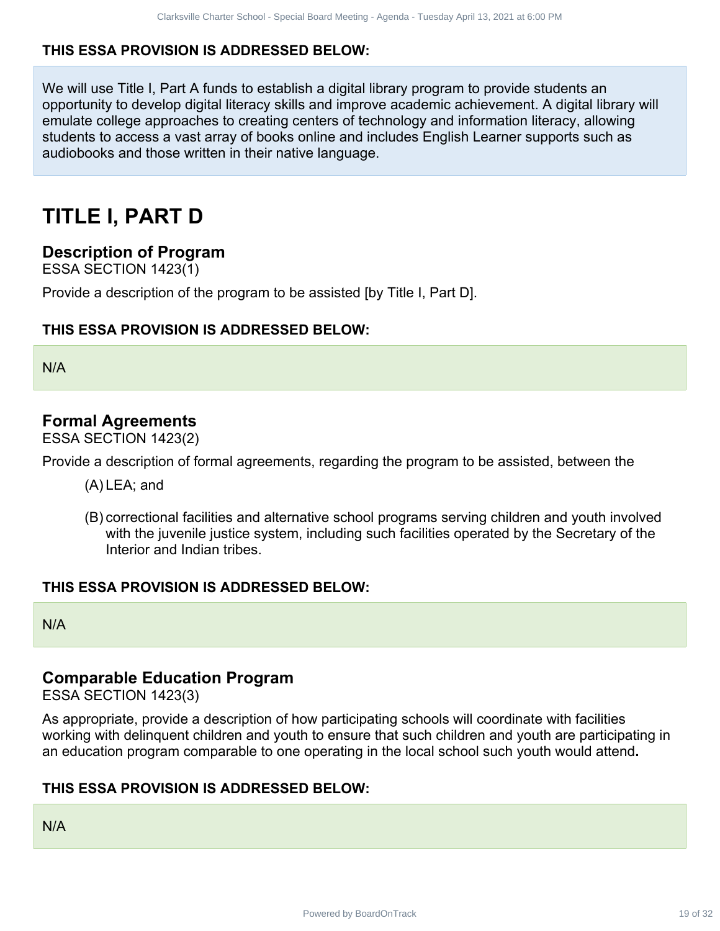#### **THIS ESSA PROVISION IS ADDRESSED BELOW:**

We will use Title I, Part A funds to establish a digital library program to provide students an opportunity to develop digital literacy skills and improve academic achievement. A digital library will emulate college approaches to creating centers of technology and information literacy, allowing students to access a vast array of books online and includes English Learner supports such as audiobooks and those written in their native language. Charles Caret Specific the Charter of Specific Charter Charter School of Specific Charter Charter Charter Charter Charter Charter Charter Charter Charter Charter Charter Charter Charter School of Specific Charter Specific

# **TITLE I, PART D**

#### **Description of Program**

ESSA SECTION 1423(1)

Provide a description of the program to be assisted [by Title I, Part D].

#### **THIS ESSA PROVISION IS ADDRESSED BELOW:**

N/A

## **Formal Agreements**

ESSA SECTION 1423(2)

Provide a description of formal agreements, regarding the program to be assisted, between the

- (A) LEA; and
- (B) correctional facilities and alternative school programs serving children and youth involved with the juvenile justice system, including such facilities operated by the Secretary of the Interior and Indian tribes.

#### **THIS ESSA PROVISION IS ADDRESSED BELOW:**

N/A

## **Comparable Education Program**

ESSA SECTION 1423(3)

As appropriate, provide a description of how participating schools will coordinate with facilities working with delinquent children and youth to ensure that such children and youth are participating in an education program comparable to one operating in the local school such youth would attend**.**

#### **THIS ESSA PROVISION IS ADDRESSED BELOW:**

N/A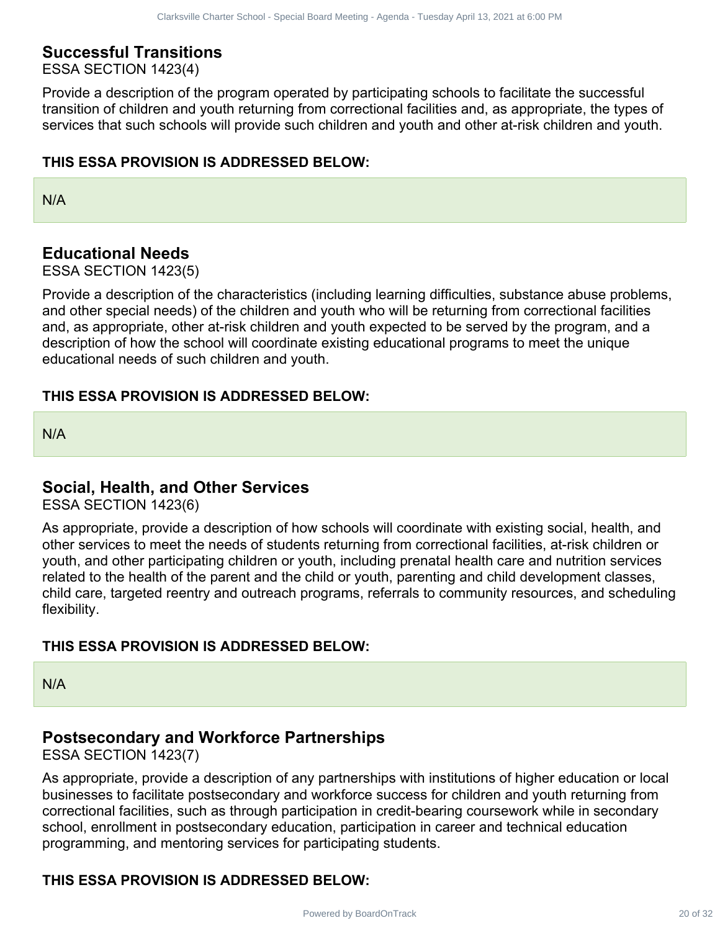## **Successful Transitions**

ESSA SECTION 1423(4)

Provide a description of the program operated by participating schools to facilitate the successful transition of children and youth returning from correctional facilities and, as appropriate, the types of services that such schools will provide such children and youth and other at-risk children and youth.

#### **THIS ESSA PROVISION IS ADDRESSED BELOW:**

N/A

## **Educational Needs**

ESSA SECTION 1423(5)

Provide a description of the characteristics (including learning difficulties, substance abuse problems, and other special needs) of the children and youth who will be returning from correctional facilities and, as appropriate, other at-risk children and youth expected to be served by the program, and a description of how the school will coordinate existing educational programs to meet the unique educational needs of such children and youth.

#### **THIS ESSA PROVISION IS ADDRESSED BELOW:**

N/A

#### **Social, Health, and Other Services**

ESSA SECTION 1423(6)

As appropriate, provide a description of how schools will coordinate with existing social, health, and other services to meet the needs of students returning from correctional facilities, at-risk children or youth, and other participating children or youth, including prenatal health care and nutrition services related to the health of the parent and the child or youth, parenting and child development classes, child care, targeted reentry and outreach programs, referrals to community resources, and scheduling flexibility. Charter States (search Special bust Meeting - Agents - Tuesday and 13, 2021 at 5:00 PM<br>
20 on 4 CHarter School - Special Diversion of 32 Clarks and Charter School - Special Board Articles and a superpensive Board Meeting -

#### **THIS ESSA PROVISION IS ADDRESSED BELOW:**

N/A

#### **Postsecondary and Workforce Partnerships**

ESSA SECTION 1423(7)

As appropriate, provide a description of any partnerships with institutions of higher education or local businesses to facilitate postsecondary and workforce success for children and youth returning from correctional facilities, such as through participation in credit-bearing coursework while in secondary school, enrollment in postsecondary education, participation in career and technical education programming, and mentoring services for participating students.

#### **THIS ESSA PROVISION IS ADDRESSED BELOW:**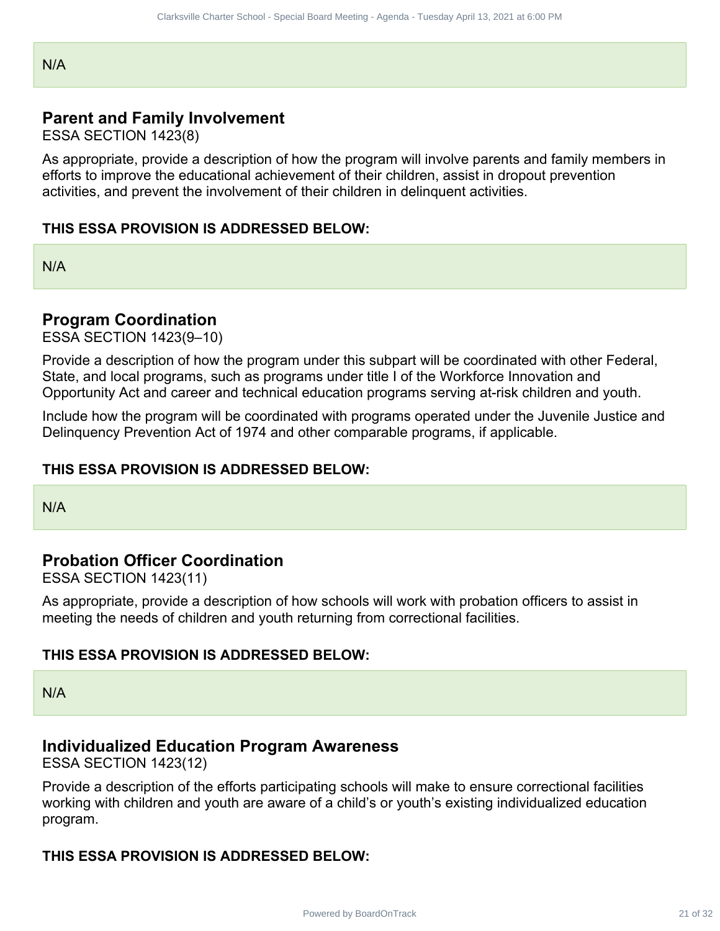N/A

## **Parent and Family Involvement**

ESSA SECTION 1423(8)

As appropriate, provide a description of how the program will involve parents and family members in efforts to improve the educational achievement of their children, assist in dropout prevention activities, and prevent the involvement of their children in delinquent activities. Charlo Charter Special Islamic Charter Special Charter Special Charter School - Special Charter School - Special Board Charter School - Special Charter School - Special Board Meeting - Agenda - Tuesday Apple 21 of 22 Clark

#### **THIS ESSA PROVISION IS ADDRESSED BELOW:**

N/A

#### **Program Coordination**

ESSA SECTION 1423(9–10)

Provide a description of how the program under this subpart will be coordinated with other Federal, State, and local programs, such as programs under title I of the Workforce Innovation and Opportunity Act and career and technical education programs serving at-risk children and youth.

Include how the program will be coordinated with programs operated under the Juvenile Justice and Delinquency Prevention Act of 1974 and other comparable programs, if applicable.

#### **THIS ESSA PROVISION IS ADDRESSED BELOW:**

N/A

## **Probation Officer Coordination**

ESSA SECTION 1423(11)

As appropriate, provide a description of how schools will work with probation officers to assist in meeting the needs of children and youth returning from correctional facilities.

#### **THIS ESSA PROVISION IS ADDRESSED BELOW:**

N/A

#### **Individualized Education Program Awareness**

ESSA SECTION 1423(12)

Provide a description of the efforts participating schools will make to ensure correctional facilities working with children and youth are aware of a child's or youth's existing individualized education program.

#### **THIS ESSA PROVISION IS ADDRESSED BELOW:**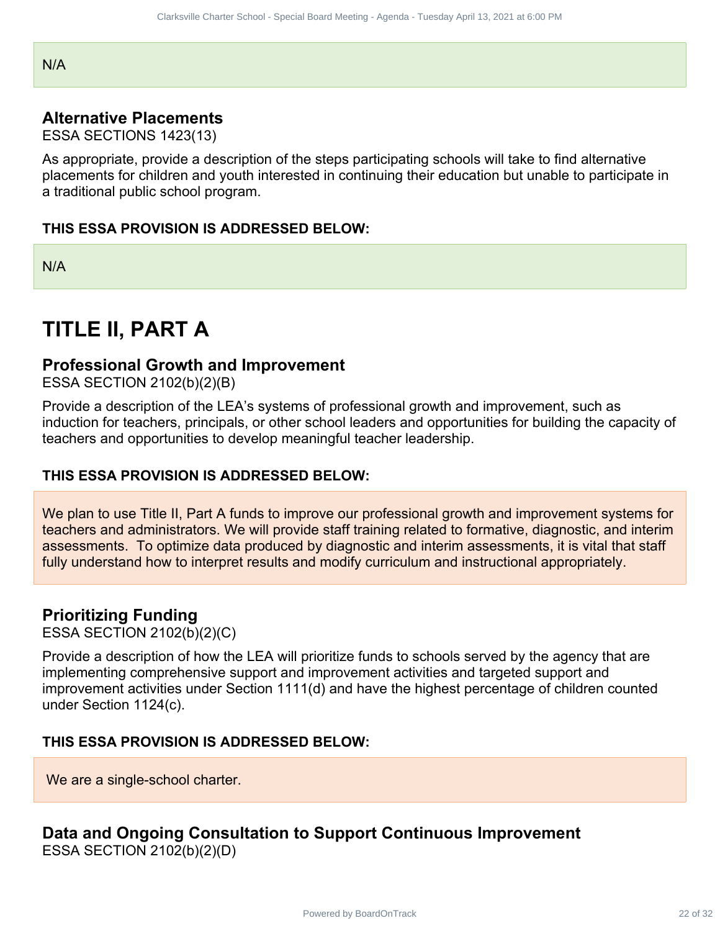N/A

## **Alternative Placements**

ESSA SECTIONS 1423(13)

As appropriate, provide a description of the steps participating schools will take to find alternative placements for children and youth interested in continuing their education but unable to participate in a traditional public school program.

#### **THIS ESSA PROVISION IS ADDRESSED BELOW:**

N/A

# **TITLE II, PART A**

#### **Professional Growth and Improvement**

ESSA SECTION 2102(b)(2)(B)

Provide a description of the LEA's systems of professional growth and improvement, such as induction for teachers, principals, or other school leaders and opportunities for building the capacity of teachers and opportunities to develop meaningful teacher leadership.

#### **THIS ESSA PROVISION IS ADDRESSED BELOW:**

We plan to use Title II, Part A funds to improve our professional growth and improvement systems for teachers and administrators. We will provide staff training related to formative, diagnostic, and interim assessments. To optimize data produced by diagnostic and interim assessments, it is vital that staff fully understand how to interpret results and modify curriculum and instructional appropriately. Charles Charter Special Rose Meeting - Agency - Tuesday and 13, 2021 at 6:00 PM<br>
1423(13)<br>
1423(13)<br>
1423(13)<br>
1423(13)<br>
By ON IS ADDRESSED BELOW:<br>
RON IS ADDRESSED BELOW:<br>
RON IS ADDRESSED BELOW:<br>
RON IS ADDRESSED BELOW:<br>

## **Prioritizing Funding**

ESSA SECTION 2102(b)(2)(C)

Provide a description of how the LEA will prioritize funds to schools served by the agency that are implementing comprehensive support and improvement activities and targeted support and improvement activities under Section 1111(d) and have the highest percentage of children counted under Section 1124(c).

#### **THIS ESSA PROVISION IS ADDRESSED BELOW:**

We are a single-school charter.

## **Data and Ongoing Consultation to Support Continuous Improvement**

ESSA SECTION 2102(b)(2)(D)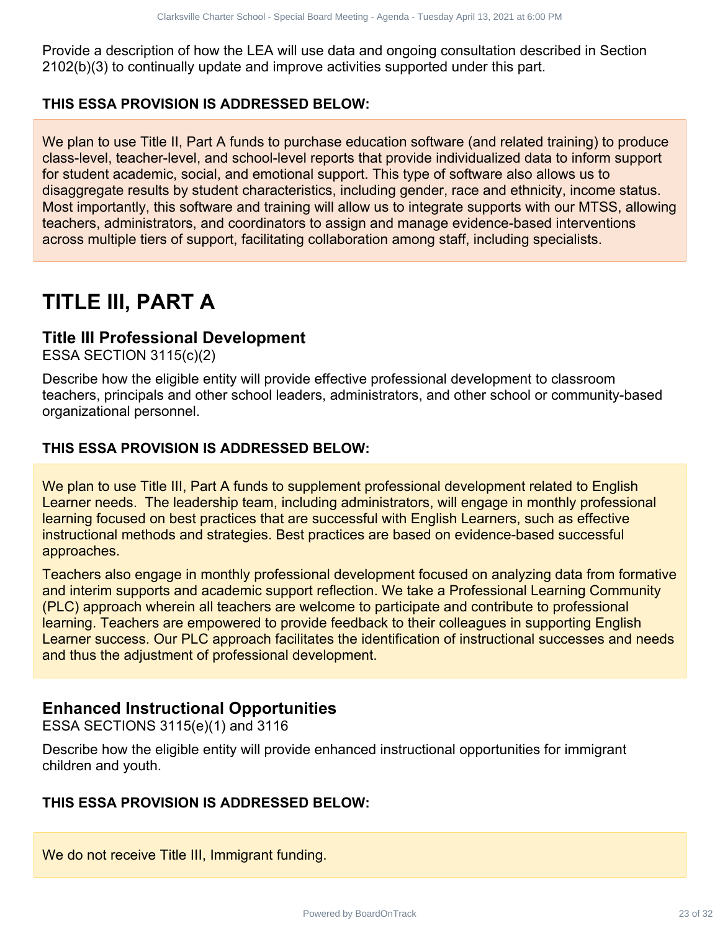Provide a description of how the LEA will use data and ongoing consultation described in Section 2102(b)(3) to continually update and improve activities supported under this part.

#### **THIS ESSA PROVISION IS ADDRESSED BELOW:**

We plan to use Title II, Part A funds to purchase education software (and related training) to produce class-level, teacher-level, and school-level reports that provide individualized data to inform support for student academic, social, and emotional support. This type of software also allows us to disaggregate results by student characteristics, including gender, race and ethnicity, income status. Most importantly, this software and training will allow us to integrate supports with our MTSS, allowing teachers, administrators, and coordinators to assign and manage evidence-based interventions across multiple tiers of support, facilitating collaboration among staff, including specialists. Claritatic formula that the characteristics and ongoing consultation of section on only by Board Board of School<br>Track United School - Specifical Board Charter School - Specifical Board Meeting - Agenda - Specifical Board

# **TITLE III, PART A**

## **Title III Professional Development**

ESSA SECTION 3115(c)(2)

Describe how the eligible entity will provide effective professional development to classroom teachers, principals and other school leaders, administrators, and other school or community-based organizational personnel.

#### **THIS ESSA PROVISION IS ADDRESSED BELOW:**

We plan to use Title III, Part A funds to supplement professional development related to English Learner needs. The leadership team, including administrators, will engage in monthly professional learning focused on best practices that are successful with English Learners, such as effective instructional methods and strategies. Best practices are based on evidence-based successful approaches.

Teachers also engage in monthly professional development focused on analyzing data from formative and interim supports and academic support reflection. We take a Professional Learning Community (PLC) approach wherein all teachers are welcome to participate and contribute to professional learning. Teachers are empowered to provide feedback to their colleagues in supporting English Learner success. Our PLC approach facilitates the identification of instructional successes and needs and thus the adjustment of professional development.

## **Enhanced Instructional Opportunities**

ESSA SECTIONS 3115(e)(1) and 3116

Describe how the eligible entity will provide enhanced instructional opportunities for immigrant children and youth.

#### **THIS ESSA PROVISION IS ADDRESSED BELOW:**

We do not receive Title III, Immigrant funding.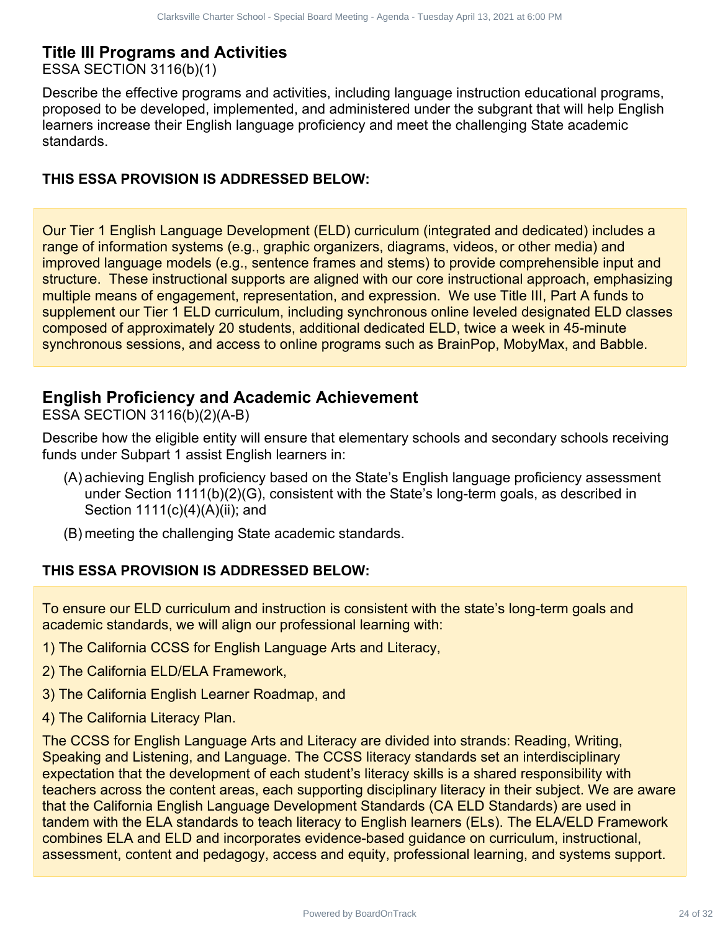# **Title III Programs and Activities**

ESSA SECTION 3116(b)(1)

Describe the effective programs and activities, including language instruction educational programs, proposed to be developed, implemented, and administered under the subgrant that will help English learners increase their English language proficiency and meet the challenging State academic standards.

#### **THIS ESSA PROVISION IS ADDRESSED BELOW:**

Our Tier 1 English Language Development (ELD) curriculum (integrated and dedicated) includes a range of information systems (e.g., graphic organizers, diagrams, videos, or other media) and improved language models (e.g., sentence frames and stems) to provide comprehensible input and structure. These instructional supports are aligned with our core instructional approach, emphasizing multiple means of engagement, representation, and expression. We use Title III, Part A funds to supplement our Tier 1 ELD curriculum, including synchronous online leveled designated ELD classes composed of approximately 20 students, additional dedicated ELD, twice a week in 45-minute synchronous sessions, and access to online programs such as BrainPop, MobyMax, and Babble. Clearate district Special bust Memory Agents - Tuesday and Data Memory April 2022 of 32 Clarks ville (19) Clarks in a distributed by approach and activities, including language instruction educational programs, we subgrant

## **English Proficiency and Academic Achievement**

ESSA SECTION 3116(b)(2)(A-B)

Describe how the eligible entity will ensure that elementary schools and secondary schools receiving funds under Subpart 1 assist English learners in:

- (A) achieving English proficiency based on the State's English language proficiency assessment under Section 1111(b)(2)(G), consistent with the State's long-term goals, as described in Section 1111(c)(4)(A)(ii); and
- (B) meeting the challenging State academic standards.

#### **THIS ESSA PROVISION IS ADDRESSED BELOW:**

To ensure our ELD curriculum and instruction is consistent with the state's long-term goals and academic standards, we will align our professional learning with:

- 1) The California CCSS for English Language Arts and Literacy,
- 2) The California ELD/ELA Framework,
- 3) The California English Learner Roadmap, and
- 4) The California Literacy Plan.

The CCSS for English Language Arts and Literacy are divided into strands: Reading, Writing, Speaking and Listening, and Language. The CCSS literacy standards set an interdisciplinary expectation that the development of each student's literacy skills is a shared responsibility with teachers across the content areas, each supporting disciplinary literacy in their subject. We are aware that the California English Language Development Standards (CA ELD Standards) are used in tandem with the ELA standards to teach literacy to English learners (ELs). The ELA/ELD Framework combines ELA and ELD and incorporates evidence-based guidance on curriculum, instructional, assessment, content and pedagogy, access and equity, professional learning, and systems support.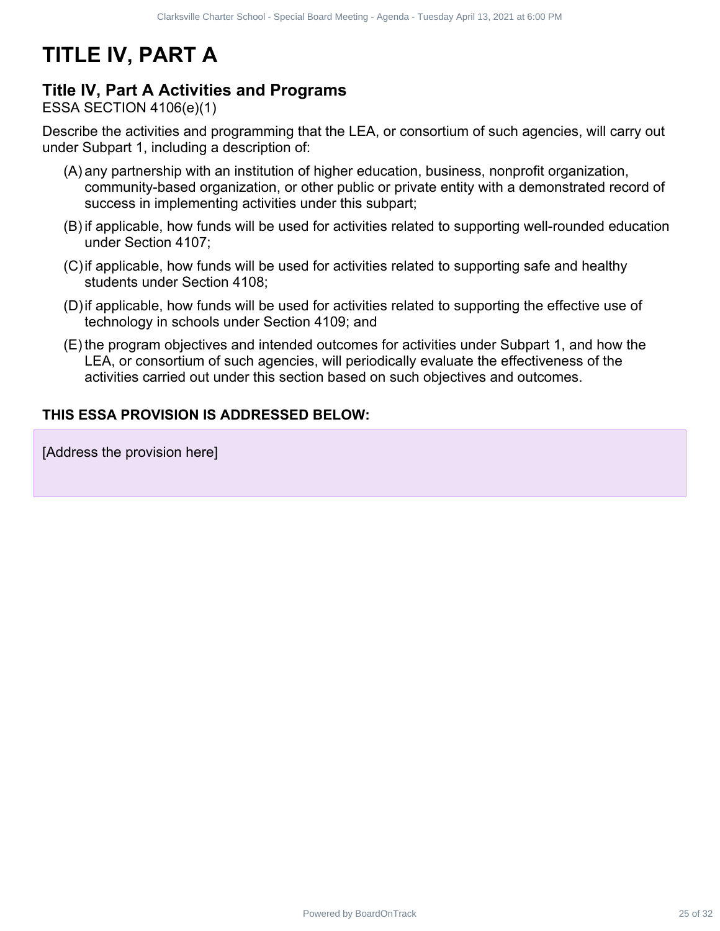# **TITLE IV, PART A**

## **Title IV, Part A Activities and Programs**

ESSA SECTION 4106(e)(1)

Describe the activities and programming that the LEA, or consortium of such agencies, will carry out under Subpart 1, including a description of:

- (A) any partnership with an institution of higher education, business, nonprofit organization, community-based organization, or other public or private entity with a demonstrated record of success in implementing activities under this subpart; Charter States (seed) Special Board Meeting - Agence Toedoy april 13, 2021 at 5:00 PM<br>**Activities and Programs**<br>**Districtions**<br>
Districtions and programming that the UEA, or consortium of such agencies, will carry out<br>to s
- (B) if applicable, how funds will be used for activities related to supporting well-rounded education under Section 4107;
- (C)if applicable, how funds will be used for activities related to supporting safe and healthy students under Section 4108;
- (D)if applicable, how funds will be used for activities related to supporting the effective use of technology in schools under Section 4109; and
- (E) the program objectives and intended outcomes for activities under Subpart 1, and how the LEA, or consortium of such agencies, will periodically evaluate the effectiveness of the activities carried out under this section based on such objectives and outcomes.

#### **THIS ESSA PROVISION IS ADDRESSED BELOW:**

[Address the provision here]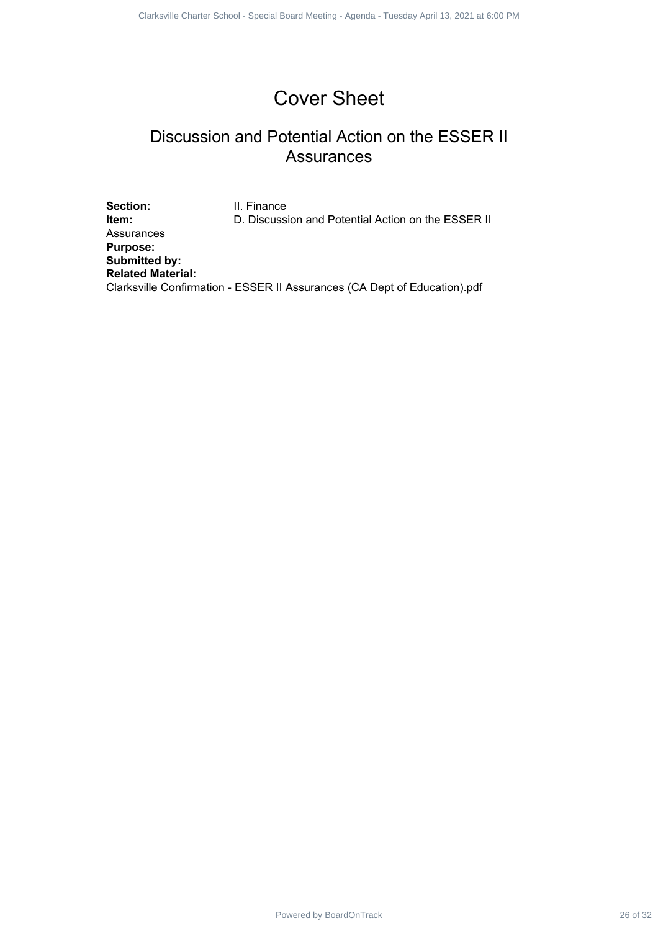# Cover Sheet

# Discussion and Potential Action on the ESSER II Assurances

Section: **II. Finance Item:** D. Discussion and Potential Action on the ESSER II Assurances **Purpose: Submitted by: Related Material:** Clarksville Confirmation - ESSER II Assurances (CA Dept of Education).pdf Powered by BoardOnTrack 26 of 32 1 1 Clarksville Charter School - Special Board Meeting - Agenda - Tuesday April 13, 2021 at 6:00 PM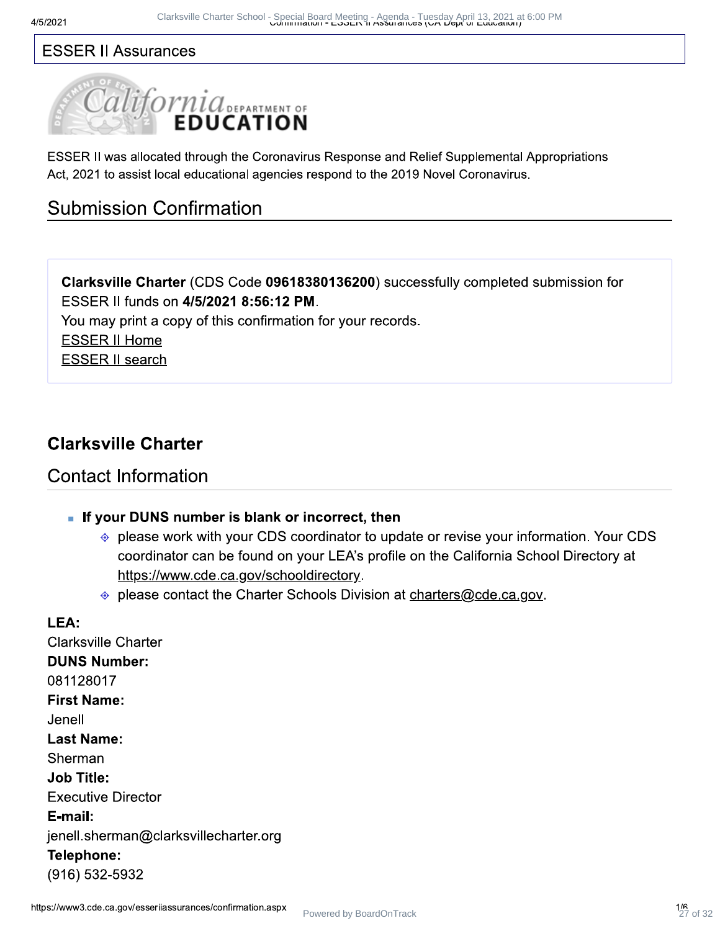## **ESSER II Assurances**



ESSER II was allocated through the Coronavirus Response and Relief Supplemental Appropriations Act, 2021 to assist local educational agencies respond to the 2019 Novel Coronavirus.

# **Submission Confirmation**

Clarksville Charter (CDS Code 09618380136200) successfully completed submission for ESSER II funds on 4/5/2021 8:56:12 PM.

You may print a copy of this confirmation for your records.

**ESSER II Home** 

**ESSER II search** 

# **Clarksville Charter**

## **Contact Information**

- If your DUNS number is blank or incorrect, then
	- ⊕ please work with your CDS coordinator to update or revise your information. Your CDS coordinator can be found on your LEA's profile on the California School Directory at https://www.cde.ca.gov/schooldirectory.
	- ⊕ please contact the Charter Schools Division at charters@cde.ca.gov.

## LEA: **Clarksville Charter DUNS Number:** 081128017 **First Name:** Jenell **Last Name:** Sherman **Job Title: Executive Director** E-mail: jenell.sherman@clarksvillecharter.org Telephone: (916) 532-5932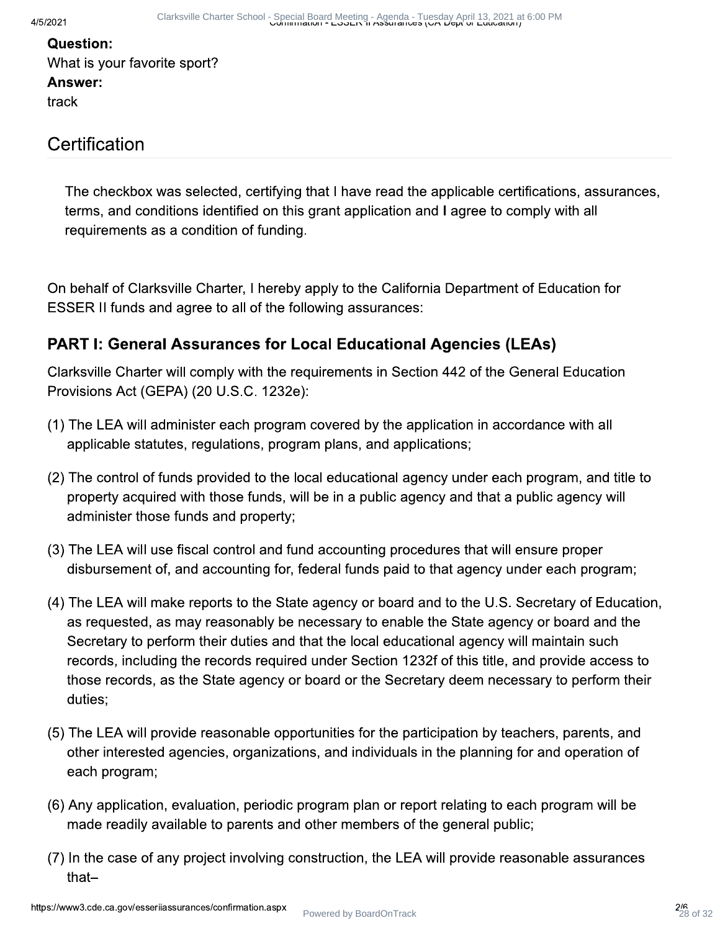## **Question:** What is your favorite sport? Answer: track

# Certification

The checkbox was selected, certifying that I have read the applicable certifications, assurances, terms, and conditions identified on this grant application and I agree to comply with all requirements as a condition of funding.

On behalf of Clarksville Charter, I hereby apply to the California Department of Education for ESSER II funds and agree to all of the following assurances:

## **PART I: General Assurances for Local Educational Agencies (LEAs)**

Clarksville Charter will comply with the requirements in Section 442 of the General Education Provisions Act (GEPA) (20 U.S.C. 1232e):

- (1) The LEA will administer each program covered by the application in accordance with all applicable statutes, regulations, program plans, and applications;
- (2) The control of funds provided to the local educational agency under each program, and title to property acquired with those funds, will be in a public agency and that a public agency will administer those funds and property;
- (3) The LEA will use fiscal control and fund accounting procedures that will ensure proper disbursement of, and accounting for, federal funds paid to that agency under each program;
- (4) The LEA will make reports to the State agency or board and to the U.S. Secretary of Education, as requested, as may reasonably be necessary to enable the State agency or board and the Secretary to perform their duties and that the local educational agency will maintain such records, including the records required under Section 1232f of this title, and provide access to those records, as the State agency or board or the Secretary deem necessary to perform their duties:
- (5) The LEA will provide reasonable opportunities for the participation by teachers, parents, and other interested agencies, organizations, and individuals in the planning for and operation of each program;
- (6) Any application, evaluation, periodic program plan or report relating to each program will be made readily available to parents and other members of the general public;
- (7) In the case of any project involving construction, the LEA will provide reasonable assurances that-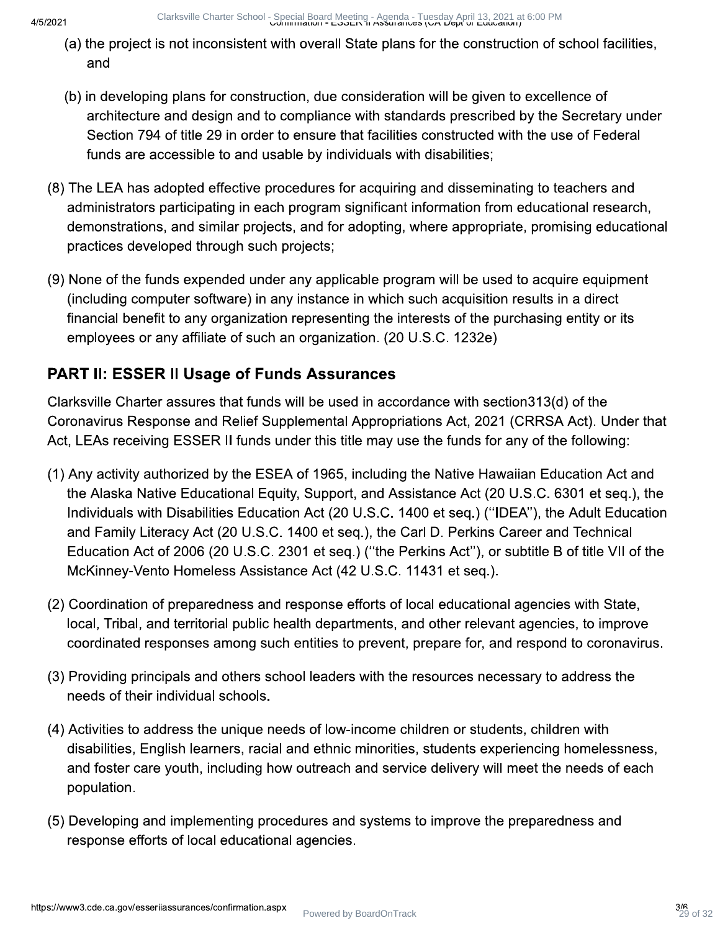Clarksville Charter School - Special Board Meeting - Agenda - Tuesday April 13, 2021 a<br>Comminiquori - ESSER 11 ASSurances (UA Dept or Education) 2021 at 6:00 PM

- (a) the project is not inconsistent with overall State plans for the construction of school facilities, and
- (b) in developing plans for construction, due consideration will be given to excellence of architecture and design and to compliance with standards prescribed by the Secretary under Section 794 of title 29 in order to ensure that facilities constructed with the use of Federal funds are accessible to and usable by individuals with disabilities;
- (8) The LEA has adopted effective procedures for acquiring and disseminating to teachers and administrators participating in each program significant information from educational research, demonstrations, and similar projects, and for adopting, where appropriate, promising educational practices developed through such projects;
- (9) None of the funds expended under any applicable program will be used to acquire equipment (including computer software) in any instance in which such acquisition results in a direct financial benefit to any organization representing the interests of the purchasing entity or its employees or any affiliate of such an organization. (20 U.S.C. 1232e)

# **PART II: ESSER II Usage of Funds Assurances**

Clarksville Charter assures that funds will be used in accordance with section 313(d) of the Coronavirus Response and Relief Supplemental Appropriations Act, 2021 (CRRSA Act). Under that Act, LEAs receiving ESSER II funds under this title may use the funds for any of the following:

- (1) Any activity authorized by the ESEA of 1965, including the Native Hawaiian Education Act and the Alaska Native Educational Equity, Support, and Assistance Act (20 U.S.C. 6301 et seg.), the Individuals with Disabilities Education Act (20 U.S.C. 1400 et seq.) ("IDEA"), the Adult Education and Family Literacy Act (20 U.S.C. 1400 et seq.), the Carl D. Perkins Career and Technical Education Act of 2006 (20 U.S.C. 2301 et seg.) ("the Perkins Act"), or subtitle B of title VII of the McKinney-Vento Homeless Assistance Act (42 U.S.C. 11431 et seq.).
- (2) Coordination of preparedness and response efforts of local educational agencies with State. local, Tribal, and territorial public health departments, and other relevant agencies, to improve coordinated responses among such entities to prevent, prepare for, and respond to coronavirus.
- (3) Providing principals and others school leaders with the resources necessary to address the needs of their individual schools.
- (4) Activities to address the unique needs of low-income children or students, children with disabilities, English learners, racial and ethnic minorities, students experiencing homelessness, and foster care youth, including how outreach and service delivery will meet the needs of each population.
- (5) Developing and implementing procedures and systems to improve the preparedness and response efforts of local educational agencies.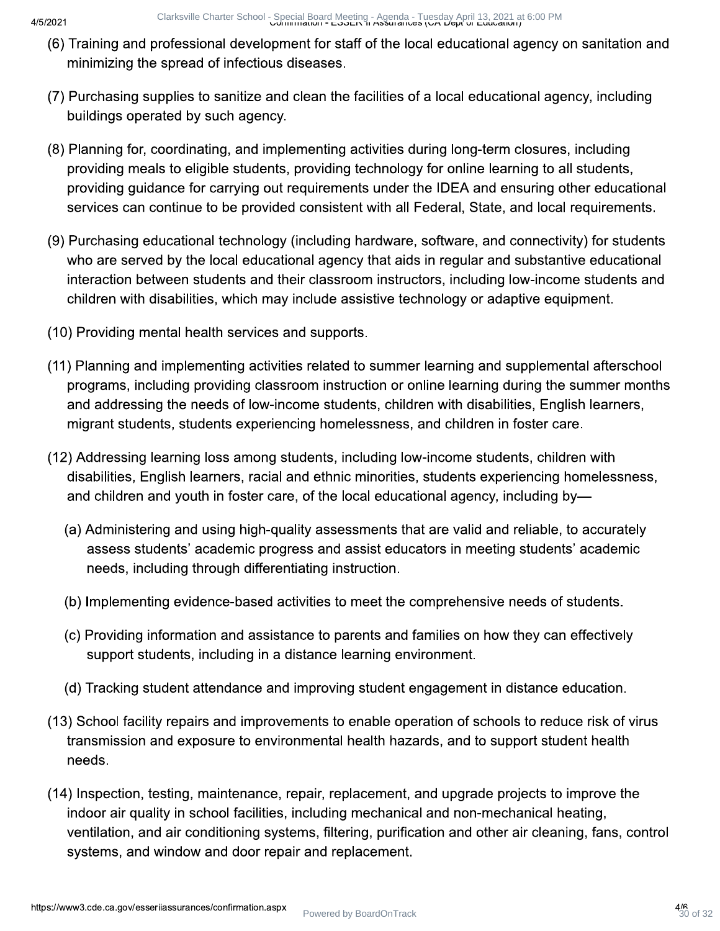- (6) Training and professional development for staff of the local educational agency on sanitation and minimizing the spread of infectious diseases.
- (7) Purchasing supplies to sanitize and clean the facilities of a local educational agency, including buildings operated by such agency.
- (8) Planning for, coordinating, and implementing activities during long-term closures, including providing meals to eligible students, providing technology for online learning to all students, providing guidance for carrying out requirements under the IDEA and ensuring other educational services can continue to be provided consistent with all Federal, State, and local requirements.
- (9) Purchasing educational technology (including hardware, software, and connectivity) for students who are served by the local educational agency that aids in regular and substantive educational interaction between students and their classroom instructors, including low-income students and children with disabilities, which may include assistive technology or adaptive equipment.
- (10) Providing mental health services and supports.
- (11) Planning and implementing activities related to summer learning and supplemental afterschool programs, including providing classroom instruction or online learning during the summer months and addressing the needs of low-income students, children with disabilities, English learners, migrant students, students experiencing homelessness, and children in foster care.
- (12) Addressing learning loss among students, including low-income students, children with disabilities, English learners, racial and ethnic minorities, students experiencing homelessness, and children and youth in foster care, of the local educational agency, including by-
	- (a) Administering and using high-quality assessments that are valid and reliable, to accurately assess students' academic progress and assist educators in meeting students' academic needs, including through differentiating instruction.
	- (b) Implementing evidence-based activities to meet the comprehensive needs of students.
	- (c) Providing information and assistance to parents and families on how they can effectively support students, including in a distance learning environment.
	- (d) Tracking student attendance and improving student engagement in distance education.
- (13) School facility repairs and improvements to enable operation of schools to reduce risk of virus transmission and exposure to environmental health hazards, and to support student health needs.
- (14) Inspection, testing, maintenance, repair, replacement, and upgrade projects to improve the indoor air quality in school facilities, including mechanical and non-mechanical heating, ventilation, and air conditioning systems, filtering, purification and other air cleaning, fans, control systems, and window and door repair and replacement.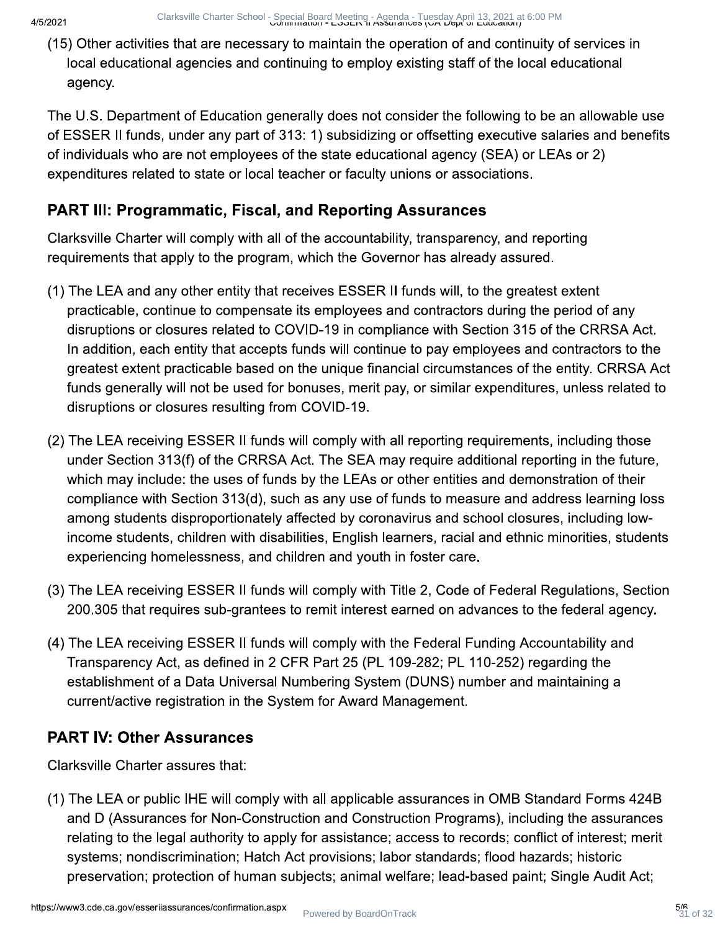(15) Other activities that are necessary to maintain the operation of and continuity of services in local educational agencies and continuing to employ existing staff of the local educational agency.

The U.S. Department of Education generally does not consider the following to be an allowable use of ESSER II funds, under any part of 313: 1) subsidizing or offsetting executive salaries and benefits of individuals who are not employees of the state educational agency (SEA) or LEAs or 2) expenditures related to state or local teacher or faculty unions or associations.

## **PART III: Programmatic, Fiscal, and Reporting Assurances**

Clarksville Charter will comply with all of the accountability, transparency, and reporting requirements that apply to the program, which the Governor has already assured.

- (1) The LEA and any other entity that receives ESSER II funds will, to the greatest extent practicable, continue to compensate its employees and contractors during the period of any disruptions or closures related to COVID-19 in compliance with Section 315 of the CRRSA Act. In addition, each entity that accepts funds will continue to pay employees and contractors to the greatest extent practicable based on the unique financial circumstances of the entity. CRRSA Act funds generally will not be used for bonuses, merit pay, or similar expenditures, unless related to disruptions or closures resulting from COVID-19.
- (2) The LEA receiving ESSER II funds will comply with all reporting requirements, including those under Section 313(f) of the CRRSA Act. The SEA may require additional reporting in the future, which may include: the uses of funds by the LEAs or other entities and demonstration of their compliance with Section 313(d), such as any use of funds to measure and address learning loss among students disproportionately affected by coronavirus and school closures, including lowincome students, children with disabilities, English learners, racial and ethnic minorities, students experiencing homelessness, and children and youth in foster care.
- (3) The LEA receiving ESSER II funds will comply with Title 2, Code of Federal Regulations, Section 200.305 that requires sub-grantees to remit interest earned on advances to the federal agency.
- (4) The LEA receiving ESSER II funds will comply with the Federal Funding Accountability and Transparency Act, as defined in 2 CFR Part 25 (PL 109-282; PL 110-252) regarding the establishment of a Data Universal Numbering System (DUNS) number and maintaining a current/active registration in the System for Award Management.

## **PART IV: Other Assurances**

Clarksville Charter assures that:

(1) The LEA or public IHE will comply with all applicable assurances in OMB Standard Forms 424B and D (Assurances for Non-Construction and Construction Programs), including the assurances relating to the legal authority to apply for assistance; access to records; conflict of interest; merit systems; nondiscrimination; Hatch Act provisions; labor standards; flood hazards; historic preservation; protection of human subjects; animal welfare; lead-based paint; Single Audit Act;